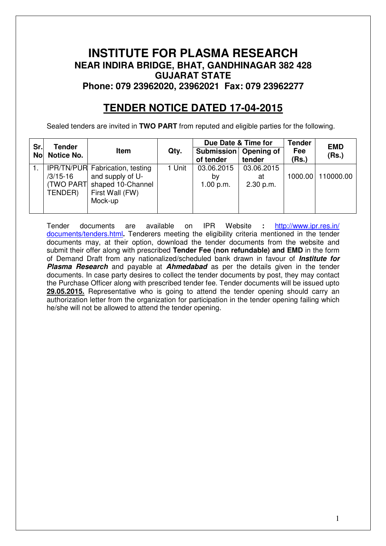# **INSTITUTE FOR PLASMA RESEARCH NEAR INDIRA BRIDGE, BHAT, GANDHINAGAR 382 428 GUJARAT STATE Phone: 079 23962020, 23962021 Fax: 079 23962277**

# **TENDER NOTICE DATED 17-04-2015**

Sealed tenders are invited in **TWO PART** from reputed and eligible parties for the following.

| Sr. | <b>Tender</b> |                                        |        | Due Date & Time for                  |            | <b>Tender</b> | <b>EMD</b> |
|-----|---------------|----------------------------------------|--------|--------------------------------------|------------|---------------|------------|
| No  | Notice No.    | Item                                   | Qty.   | Submission   Opening of<br>of tender | tender     | Fee<br>(Rs.)  | (Rs.)      |
|     |               | <b>IPR/TN/PUR Fabrication, testing</b> | 1 Unit | 03.06.2015                           | 03.06.2015 |               |            |
|     | /3/15-16      | and supply of U-                       |        | b٧                                   | at         | 1000.00       | 110000.00  |
|     |               | (TWO PART) shaped 10-Channel           |        | 1.00 p.m.                            | 2.30 p.m.  |               |            |
|     | TENDER)       | First Wall (FW)                        |        |                                      |            |               |            |
|     |               | Mock-up                                |        |                                      |            |               |            |
|     |               |                                        |        |                                      |            |               |            |

Tender documents are available on IPR Website **:** http://www.ipr.res.in/ documents/tenders.html**.** Tenderers meeting the eligibility criteria mentioned in the tender documents may, at their option, download the tender documents from the website and submit their offer along with prescribed **Tender Fee (non refundable) and EMD** in the form of Demand Draft from any nationalized/scheduled bank drawn in favour of **Institute for Plasma Research** and payable at **Ahmedabad** as per the details given in the tender documents. In case party desires to collect the tender documents by post, they may contact the Purchase Officer along with prescribed tender fee. Tender documents will be issued upto **29.05.2015.** Representative who is going to attend the tender opening should carry an authorization letter from the organization for participation in the tender opening failing which he/she will not be allowed to attend the tender opening.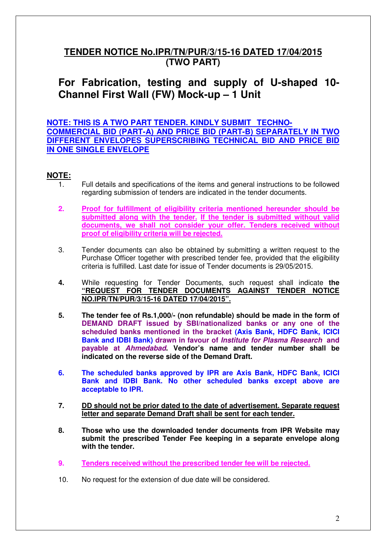# **TENDER NOTICE No.IPR/TN/PUR/3/15-16 DATED 17/04/2015 (TWO PART)**

# **For Fabrication, testing and supply of U-shaped 10- Channel First Wall (FW) Mock-up – 1 Unit**

**NOTE: THIS IS A TWO PART TENDER. KINDLY SUBMIT TECHNO-COMMERCIAL BID (PART-A) AND PRICE BID (PART-B) SEPARATELY IN TWO DIFFERENT ENVELOPES SUPERSCRIBING TECHNICAL BID AND PRICE BID IN ONE SINGLE ENVELOPE** 

## **NOTE:**

- 1. Full details and specifications of the items and general instructions to be followed regarding submission of tenders are indicated in the tender documents.
- **2. Proof for fulfillment of eligibility criteria mentioned hereunder should be submitted along with the tender. If the tender is submitted without valid documents, we shall not consider your offer. Tenders received without proof of eligibility criteria will be rejected.**
- 3. Tender documents can also be obtained by submitting a written request to the Purchase Officer together with prescribed tender fee, provided that the eligibility criteria is fulfilled. Last date for issue of Tender documents is 29/05/2015.
- **4.** While requesting for Tender Documents, such request shall indicate **the "REQUEST FOR TENDER DOCUMENTS AGAINST TENDER NOTICE NO.IPR/TN/PUR/3/15-16 DATED 17/04/2015".**
- **5. The tender fee of Rs.1,000/- (non refundable) should be made in the form of DEMAND DRAFT issued by SBI/nationalized banks or any one of the scheduled banks mentioned in the bracket (Axis Bank, HDFC Bank, ICICI Bank and IDBI Bank) drawn in favour of Institute for Plasma Research and payable at Ahmedabad. Vendor's name and tender number shall be indicated on the reverse side of the Demand Draft.**
- **6. The scheduled banks approved by IPR are Axis Bank, HDFC Bank, ICICI Bank and IDBI Bank. No other scheduled banks except above are acceptable to IPR.**
- **7. DD should not be prior dated to the date of advertisement. Separate request letter and separate Demand Draft shall be sent for each tender.**
- **8. Those who use the downloaded tender documents from IPR Website may submit the prescribed Tender Fee keeping in a separate envelope along with the tender.**
- **9. Tenders received without the prescribed tender fee will be rejected.**
- 10. No request for the extension of due date will be considered.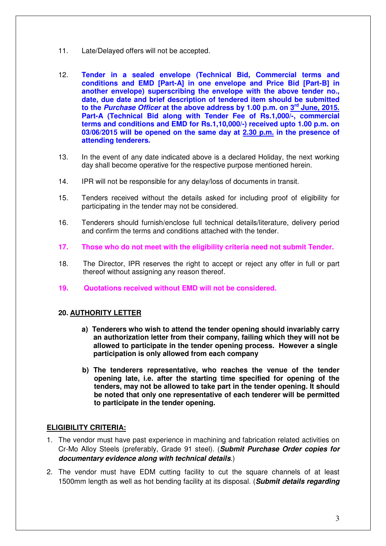- 11. Late/Delayed offers will not be accepted.
- 12. **Tender in a sealed envelope (Technical Bid, Commercial terms and conditions and EMD [Part-A] in one envelope and Price Bid [Part-B] in another envelope) superscribing the envelope with the above tender no., date, due date and brief description of tendered item should be submitted to the Purchase Officer at the above address by 1.00 p.m. on 3rd June, 2015. Part-A (Technical Bid along with Tender Fee of Rs.1,000/-, commercial terms and conditions and EMD for Rs.1,10,000/-) received upto 1.00 p.m. on 03/06/2015 will be opened on the same day at 2.30 p.m. in the presence of attending tenderers.**
- 13. In the event of any date indicated above is a declared Holiday, the next working day shall become operative for the respective purpose mentioned herein.
- 14. IPR will not be responsible for any delay/loss of documents in transit.
- 15. Tenders received without the details asked for including proof of eligibility for participating in the tender may not be considered.
- 16. Tenderers should furnish/enclose full technical details/literature, delivery period and confirm the terms and conditions attached with the tender.
- **17. Those who do not meet with the eligibility criteria need not submit Tender.**
- 18. The Director, IPR reserves the right to accept or reject any offer in full or part thereof without assigning any reason thereof.
- **19. Quotations received without EMD will not be considered.**

#### **20. AUTHORITY LETTER**

- **a) Tenderers who wish to attend the tender opening should invariably carry an authorization letter from their company, failing which they will not be allowed to participate in the tender opening process. However a single participation is only allowed from each company**
- **b) The tenderers representative, who reaches the venue of the tender opening late, i.e. after the starting time specified for opening of the tenders, may not be allowed to take part in the tender opening. It should be noted that only one representative of each tenderer will be permitted to participate in the tender opening.**

#### **ELIGIBILITY CRITERIA:**

- 1. The vendor must have past experience in machining and fabrication related activities on Cr-Mo Alloy Steels (preferably, Grade 91 steel). (**Submit Purchase Order copies for documentary evidence along with technical details**.)
- 2. The vendor must have EDM cutting facility to cut the square channels of at least 1500mm length as well as hot bending facility at its disposal. (**Submit details regarding**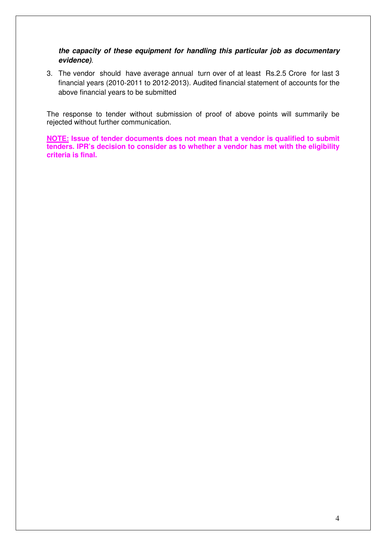**the capacity of these equipment for handling this particular job as documentary evidence)**.

3. The vendor should have average annual turn over of at least Rs.2.5 Crore for last 3 financial years (2010-2011 to 2012-2013). Audited financial statement of accounts for the above financial years to be submitted

The response to tender without submission of proof of above points will summarily be rejected without further communication.

**NOTE: Issue of tender documents does not mean that a vendor is qualified to submit tenders. IPR's decision to consider as to whether a vendor has met with the eligibility criteria is final.**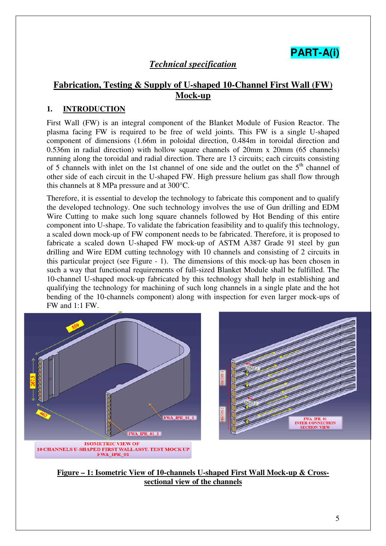# **PART-A(i)**

## *Technical specification*

## **Fabrication, Testing & Supply of U-shaped 10-Channel First Wall (FW) Mock-up**

## **1. INTRODUCTION**

First Wall (FW) is an integral component of the Blanket Module of Fusion Reactor. The plasma facing FW is required to be free of weld joints. This FW is a single U-shaped component of dimensions (1.66m in poloidal direction, 0.484m in toroidal direction and 0.536m in radial direction) with hollow square channels of 20mm x 20mm (65 channels) running along the toroidal and radial direction. There are 13 circuits; each circuits consisting of 5 channels with inlet on the 1st channel of one side and the outlet on the  $5<sup>th</sup>$  channel of other side of each circuit in the U-shaped FW. High pressure helium gas shall flow through this channels at 8 MPa pressure and at 300°C.

Therefore, it is essential to develop the technology to fabricate this component and to qualify the developed technology. One such technology involves the use of Gun drilling and EDM Wire Cutting to make such long square channels followed by Hot Bending of this entire component into U-shape. To validate the fabrication feasibility and to qualify this technology, a scaled down mock-up of FW component needs to be fabricated. Therefore, it is proposed to fabricate a scaled down U-shaped FW mock-up of ASTM A387 Grade 91 steel by gun drilling and Wire EDM cutting technology with 10 channels and consisting of 2 circuits in this particular project (see Figure - 1). The dimensions of this mock-up has been chosen in such a way that functional requirements of full-sized Blanket Module shall be fulfilled. The 10-channel U-shaped mock-up fabricated by this technology shall help in establishing and qualifying the technology for machining of such long channels in a single plate and the hot bending of the 10-channels component) along with inspection for even larger mock-ups of FW and 1:1 FW.



**Figure – 1: Isometric View of 10-channels U-shaped First Wall Mock-up & Crosssectional view of the channels**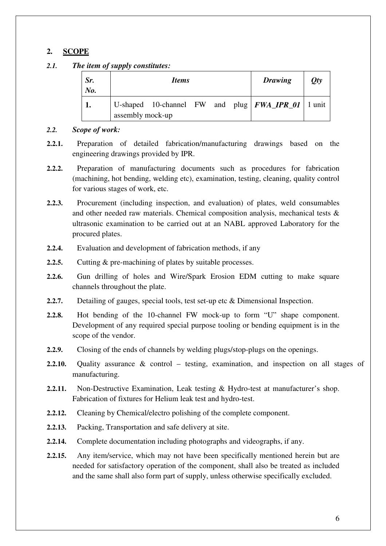## **2. SCOPE**

*2.1. The item of supply constitutes:* 

| Sr.<br>No. | <i>Items</i>                                                                    | <b>Drawing</b> | Qty |
|------------|---------------------------------------------------------------------------------|----------------|-----|
|            | U-shaped 10-channel FW and plug   $FWA$ $IPR_01$   1 unit  <br>assembly mock-up |                |     |

#### *2.2. Scope of work:*

- **2.2.1.** Preparation of detailed fabrication/manufacturing drawings based on the engineering drawings provided by IPR.
- **2.2.2.** Preparation of manufacturing documents such as procedures for fabrication (machining, hot bending, welding etc), examination, testing, cleaning, quality control for various stages of work, etc.
- **2.2.3.** Procurement (including inspection, and evaluation) of plates, weld consumables and other needed raw materials. Chemical composition analysis, mechanical tests & ultrasonic examination to be carried out at an NABL approved Laboratory for the procured plates.
- **2.2.4.** Evaluation and development of fabrication methods, if any
- **2.2.5.** Cutting & pre-machining of plates by suitable processes.
- **2.2.6.** Gun drilling of holes and Wire/Spark Erosion EDM cutting to make square channels throughout the plate.
- **2.2.7.** Detailing of gauges, special tools, test set-up etc & Dimensional Inspection.
- **2.2.8.** Hot bending of the 10-channel FW mock-up to form "U" shape component. Development of any required special purpose tooling or bending equipment is in the scope of the vendor.
- **2.2.9.** Closing of the ends of channels by welding plugs/stop-plugs on the openings.
- **2.2.10.** Quality assurance & control testing, examination, and inspection on all stages of manufacturing.
- **2.2.11.** Non-Destructive Examination, Leak testing & Hydro-test at manufacturer's shop. Fabrication of fixtures for Helium leak test and hydro-test.
- **2.2.12.** Cleaning by Chemical/electro polishing of the complete component.
- **2.2.13.** Packing, Transportation and safe delivery at site.
- **2.2.14.** Complete documentation including photographs and videographs, if any.
- **2.2.15.** Any item/service, which may not have been specifically mentioned herein but are needed for satisfactory operation of the component, shall also be treated as included and the same shall also form part of supply, unless otherwise specifically excluded.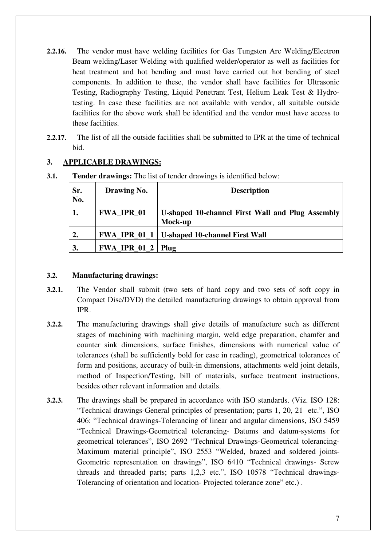- **2.2.16.** The vendor must have welding facilities for Gas Tungsten Arc Welding/Electron Beam welding/Laser Welding with qualified welder/operator as well as facilities for heat treatment and hot bending and must have carried out hot bending of steel components. In addition to these, the vendor shall have facilities for Ultrasonic Testing, Radiography Testing, Liquid Penetrant Test, Helium Leak Test & Hydrotesting. In case these facilities are not available with vendor, all suitable outside facilities for the above work shall be identified and the vendor must have access to these facilities.
- **2.2.17.** The list of all the outside facilities shall be submitted to IPR at the time of technical bid.

## **3. APPLICABLE DRAWINGS:**

| Sr.<br>No. | Drawing No.           | <b>Description</b>                                          |
|------------|-----------------------|-------------------------------------------------------------|
| 1.         | <b>FWA_IPR_01</b>     | U-shaped 10-channel First Wall and Plug Assembly<br>Mock-up |
| 2.         |                       | FWA_IPR_01_1   U-shaped 10-channel First Wall               |
| 3.         | $FWA$ IPR $01_2$ Plug |                                                             |

**3.1. Tender drawings:** The list of tender drawings is identified below:

## **3.2. Manufacturing drawings:**

- **3.2.1.** The Vendor shall submit (two sets of hard copy and two sets of soft copy in Compact Disc/DVD) the detailed manufacturing drawings to obtain approval from IPR.
- **3.2.2.** The manufacturing drawings shall give details of manufacture such as different stages of machining with machining margin, weld edge preparation, chamfer and counter sink dimensions, surface finishes, dimensions with numerical value of tolerances (shall be sufficiently bold for ease in reading), geometrical tolerances of form and positions, accuracy of built-in dimensions, attachments weld joint details, method of Inspection/Testing, bill of materials, surface treatment instructions, besides other relevant information and details.
- **3.2.3.** The drawings shall be prepared in accordance with ISO standards. (Viz. ISO 128: "Technical drawings-General principles of presentation; parts 1, 20, 21 etc.", ISO 406: "Technical drawings-Tolerancing of linear and angular dimensions, ISO 5459 "Technical Drawings-Geometrical tolerancing- Datums and datum-systems for geometrical tolerances", ISO 2692 "Technical Drawings-Geometrical tolerancing-Maximum material principle", ISO 2553 "Welded, brazed and soldered joints-Geometric representation on drawings", ISO 6410 "Technical drawings- Screw threads and threaded parts; parts 1,2,3 etc.", ISO 10578 "Technical drawings-Tolerancing of orientation and location- Projected tolerance zone" etc.) .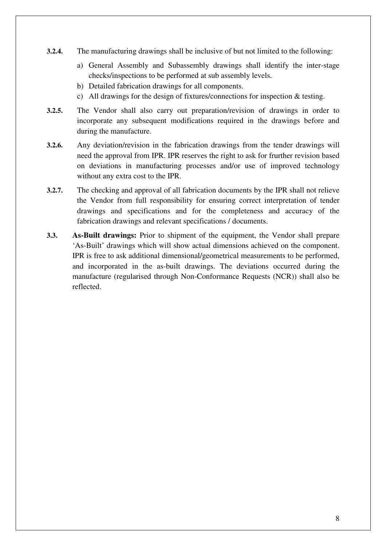- **3.2.4.** The manufacturing drawings shall be inclusive of but not limited to the following:
	- a) General Assembly and Subassembly drawings shall identify the inter-stage checks/inspections to be performed at sub assembly levels.
	- b) Detailed fabrication drawings for all components.
	- c) All drawings for the design of fixtures/connections for inspection & testing.
- **3.2.5.** The Vendor shall also carry out preparation/revision of drawings in order to incorporate any subsequent modifications required in the drawings before and during the manufacture.
- **3.2.6.** Any deviation/revision in the fabrication drawings from the tender drawings will need the approval from IPR. IPR reserves the right to ask for frurther revision based on deviations in manufacturing processes and/or use of improved technology without any extra cost to the IPR.
- **3.2.7.** The checking and approval of all fabrication documents by the IPR shall not relieve the Vendor from full responsibility for ensuring correct interpretation of tender drawings and specifications and for the completeness and accuracy of the fabrication drawings and relevant specifications / documents.
- **3.3. As-Built drawings:** Prior to shipment of the equipment, the Vendor shall prepare 'As-Built' drawings which will show actual dimensions achieved on the component. IPR is free to ask additional dimensional/geometrical measurements to be performed, and incorporated in the as-built drawings. The deviations occurred during the manufacture (regularised through Non-Conformance Requests (NCR)) shall also be reflected.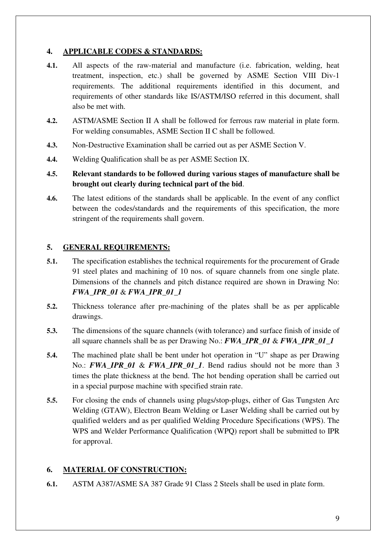## **4. APPLICABLE CODES & STANDARDS:**

- **4.1.** All aspects of the raw-material and manufacture (i.e. fabrication, welding, heat treatment, inspection, etc.) shall be governed by ASME Section VIII Div-1 requirements. The additional requirements identified in this document, and requirements of other standards like IS/ASTM/ISO referred in this document, shall also be met with.
- **4.2.** ASTM/ASME Section II A shall be followed for ferrous raw material in plate form. For welding consumables, ASME Section II C shall be followed.
- **4.3.** Non-Destructive Examination shall be carried out as per ASME Section V.
- **4.4.** Welding Qualification shall be as per ASME Section IX.
- **4.5. Relevant standards to be followed during various stages of manufacture shall be brought out clearly during technical part of the bid**.
- **4.6.** The latest editions of the standards shall be applicable. In the event of any conflict between the codes/standards and the requirements of this specification, the more stringent of the requirements shall govern.

## **5. GENERAL REQUIREMENTS:**

- **5.1.** The specification establishes the technical requirements for the procurement of Grade 91 steel plates and machining of 10 nos. of square channels from one single plate. Dimensions of the channels and pitch distance required are shown in Drawing No: *FWA\_IPR\_01* & *FWA\_IPR\_01\_1*
- **5.2.** Thickness tolerance after pre-machining of the plates shall be as per applicable drawings.
- **5.3.** The dimensions of the square channels (with tolerance) and surface finish of inside of all square channels shall be as per Drawing No.: *FWA\_IPR\_01* & *FWA\_IPR\_01\_1*
- **5.4.** The machined plate shall be bent under hot operation in "U" shape as per Drawing No.: **FWA\_IPR\_01** & **FWA\_IPR\_01\_1**. Bend radius should not be more than 3 times the plate thickness at the bend. The hot bending operation shall be carried out in a special purpose machine with specified strain rate.
- **5.5.** For closing the ends of channels using plugs/stop-plugs, either of Gas Tungsten Arc Welding (GTAW), Electron Beam Welding or Laser Welding shall be carried out by qualified welders and as per qualified Welding Procedure Specifications (WPS). The WPS and Welder Performance Qualification (WPQ) report shall be submitted to IPR for approval.

## **6. MATERIAL OF CONSTRUCTION:**

**6.1.** ASTM A387/ASME SA 387 Grade 91 Class 2 Steels shall be used in plate form.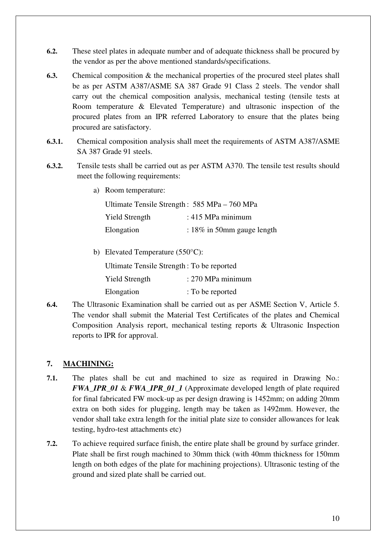- **6.2.** These steel plates in adequate number and of adequate thickness shall be procured by the vendor as per the above mentioned standards/specifications.
- **6.3.** Chemical composition & the mechanical properties of the procured steel plates shall be as per ASTM A387/ASME SA 387 Grade 91 Class 2 steels. The vendor shall carry out the chemical composition analysis, mechanical testing (tensile tests at Room temperature & Elevated Temperature) and ultrasonic inspection of the procured plates from an IPR referred Laboratory to ensure that the plates being procured are satisfactory.
- **6.3.1.** Chemical composition analysis shall meet the requirements of ASTM A387/ASME SA 387 Grade 91 steels.
- **6.3.2.** Tensile tests shall be carried out as per ASTM A370. The tensile test results should meet the following requirements:
	- a) Room temperature:

| Ultimate Tensile Strength: 585 MPa – 760 MPa |                               |  |  |  |
|----------------------------------------------|-------------------------------|--|--|--|
| <b>Yield Strength</b>                        | : $415$ MPa minimum           |  |  |  |
| Elongation                                   | : $18\%$ in 50mm gauge length |  |  |  |

b) Elevated Temperature (550°C):

Ultimate Tensile Strength : To be reported

Yield Strength : 270 MPa minimum

Elongation : To be reported

**6.4.** The Ultrasonic Examination shall be carried out as per ASME Section V, Article 5. The vendor shall submit the Material Test Certificates of the plates and Chemical Composition Analysis report, mechanical testing reports & Ultrasonic Inspection reports to IPR for approval.

## **7. MACHINING:**

- **7.1.** The plates shall be cut and machined to size as required in Drawing No.: *FWA\_IPR\_01* & *FWA\_IPR\_01\_1* (Approximate developed length of plate required for final fabricated FW mock-up as per design drawing is 1452mm; on adding 20mm extra on both sides for plugging, length may be taken as 1492mm. However, the vendor shall take extra length for the initial plate size to consider allowances for leak testing, hydro-test attachments etc)
- **7.2.** To achieve required surface finish, the entire plate shall be ground by surface grinder. Plate shall be first rough machined to 30mm thick (with 40mm thickness for 150mm length on both edges of the plate for machining projections). Ultrasonic testing of the ground and sized plate shall be carried out.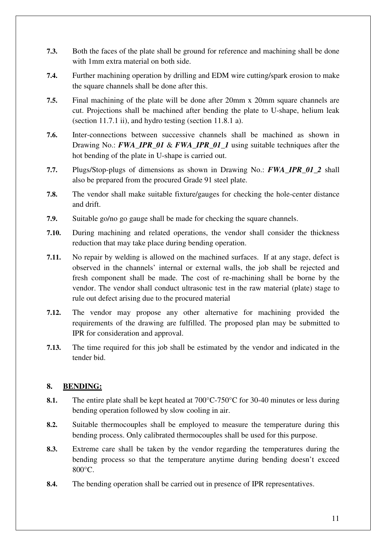- **7.3.** Both the faces of the plate shall be ground for reference and machining shall be done with 1mm extra material on both side.
- **7.4.** Further machining operation by drilling and EDM wire cutting/spark erosion to make the square channels shall be done after this.
- **7.5.** Final machining of the plate will be done after 20mm x 20mm square channels are cut. Projections shall be machined after bending the plate to U-shape, helium leak (section 11.7.1 ii), and hydro testing (section 11.8.1 a).
- **7.6.** Inter-connections between successive channels shall be machined as shown in Drawing No.: *FWA\_IPR\_01* & *FWA\_IPR\_01\_1* using suitable techniques after the hot bending of the plate in U-shape is carried out.
- **7.7.** Plugs/Stop-plugs of dimensions as shown in Drawing No.: *FWA\_IPR\_01\_2* shall also be prepared from the procured Grade 91 steel plate.
- **7.8.** The vendor shall make suitable fixture/gauges for checking the hole-center distance and drift.
- **7.9.** Suitable go/no go gauge shall be made for checking the square channels.
- **7.10.** During machining and related operations, the vendor shall consider the thickness reduction that may take place during bending operation.
- **7.11.** No repair by welding is allowed on the machined surfaces. If at any stage, defect is observed in the channels' internal or external walls, the job shall be rejected and fresh component shall be made. The cost of re-machining shall be borne by the vendor. The vendor shall conduct ultrasonic test in the raw material (plate) stage to rule out defect arising due to the procured material
- **7.12.** The vendor may propose any other alternative for machining provided the requirements of the drawing are fulfilled. The proposed plan may be submitted to IPR for consideration and approval.
- **7.13.** The time required for this job shall be estimated by the vendor and indicated in the tender bid.

## **8. BENDING:**

- **8.1.** The entire plate shall be kept heated at 700°C-750°C for 30-40 minutes or less during bending operation followed by slow cooling in air.
- **8.2.** Suitable thermocouples shall be employed to measure the temperature during this bending process. Only calibrated thermocouples shall be used for this purpose.
- **8.3.** Extreme care shall be taken by the vendor regarding the temperatures during the bending process so that the temperature anytime during bending doesn't exceed 800°C.
- **8.4.** The bending operation shall be carried out in presence of IPR representatives.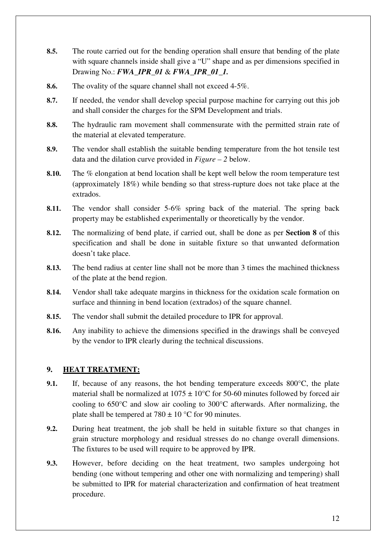- **8.5.** The route carried out for the bending operation shall ensure that bending of the plate with square channels inside shall give a "U" shape and as per dimensions specified in Drawing No.: *FWA\_IPR\_01* & *FWA\_IPR\_01\_1.*
- **8.6.** The ovality of the square channel shall not exceed 4-5%.
- **8.7.** If needed, the vendor shall develop special purpose machine for carrying out this job and shall consider the charges for the SPM Development and trials.
- **8.8.** The hydraulic ram movement shall commensurate with the permitted strain rate of the material at elevated temperature.
- **8.9.** The vendor shall establish the suitable bending temperature from the hot tensile test data and the dilation curve provided in *Figure – 2* below.
- **8.10.** The % elongation at bend location shall be kept well below the room temperature test (approximately 18%) while bending so that stress-rupture does not take place at the extrados.
- **8.11.** The vendor shall consider 5-6% spring back of the material. The spring back property may be established experimentally or theoretically by the vendor.
- **8.12.** The normalizing of bend plate, if carried out, shall be done as per **Section 8** of this specification and shall be done in suitable fixture so that unwanted deformation doesn't take place.
- **8.13.** The bend radius at center line shall not be more than 3 times the machined thickness of the plate at the bend region.
- **8.14.** Vendor shall take adequate margins in thickness for the oxidation scale formation on surface and thinning in bend location (extrados) of the square channel.
- **8.15.** The vendor shall submit the detailed procedure to IPR for approval.
- **8.16.** Any inability to achieve the dimensions specified in the drawings shall be conveyed by the vendor to IPR clearly during the technical discussions.

## **9. HEAT TREATMENT:**

- **9.1.** If, because of any reasons, the hot bending temperature exceeds 800<sup>o</sup>C, the plate material shall be normalized at  $1075 \pm 10^{\circ}$ C for 50-60 minutes followed by forced air cooling to 650°C and slow air cooling to 300°C afterwards. After normalizing, the plate shall be tempered at  $780 \pm 10$  °C for 90 minutes.
- **9.2.** During heat treatment, the job shall be held in suitable fixture so that changes in grain structure morphology and residual stresses do no change overall dimensions. The fixtures to be used will require to be approved by IPR.
- **9.3.** However, before deciding on the heat treatment, two samples undergoing hot bending (one without tempering and other one with normalizing and tempering) shall be submitted to IPR for material characterization and confirmation of heat treatment procedure.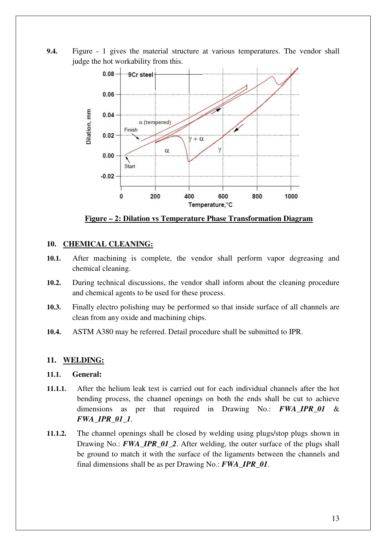**9.4.** Figure - 1 gives the material structure at various temperatures. The vendor shall judge the hot workability from this.



**Figure – 2: Dilation vs Temperature Phase Transformation Diagram**

#### **10. CHEMICAL CLEANING:**

- **10.1.** After machining is complete, the vendor shall perform vapor degreasing and chemical cleaning.
- **10.2.** During technical discussions, the vendor shall inform about the cleaning procedure and chemical agents to be used for these process.
- **10.3.** Finally electro polishing may be performed so that inside surface of all channels are clean from any oxide and machining chips.
- **10.4.** ASTM A380 may be referred. Detail procedure shall be submitted to IPR.

#### **11. WELDING:**

#### **11.1. General:**

- **11.1.1.** After the helium leak test is carried out for each individual channels after the hot bending process, the channel openings on both the ends shall be cut to achieve dimensions as per that required in Drawing No.: *FWA\_IPR\_01* & *FWA\_IPR\_01\_1*.
- **11.1.2.** The channel openings shall be closed by welding using plugs/stop plugs shown in Drawing No.: **FWA\_IPR\_01\_2**. After welding, the outer surface of the plugs shall be ground to match it with the surface of the ligaments between the channels and final dimensions shall be as per Drawing No.: *FWA\_IPR\_01*.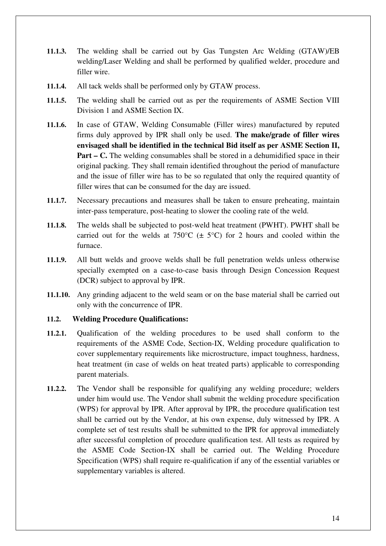- **11.1.3.** The welding shall be carried out by Gas Tungsten Arc Welding (GTAW)/EB welding/Laser Welding and shall be performed by qualified welder, procedure and filler wire.
- **11.1.4.** All tack welds shall be performed only by GTAW process.
- **11.1.5.** The welding shall be carried out as per the requirements of ASME Section VIII Division 1 and ASME Section IX.
- **11.1.6.** In case of GTAW, Welding Consumable (Filler wires) manufactured by reputed firms duly approved by IPR shall only be used. **The make/grade of filler wires envisaged shall be identified in the technical Bid itself as per ASME Section II, Part – C.** The welding consumables shall be stored in a dehumidified space in their original packing. They shall remain identified throughout the period of manufacture and the issue of filler wire has to be so regulated that only the required quantity of filler wires that can be consumed for the day are issued.
- **11.1.7.** Necessary precautions and measures shall be taken to ensure preheating, maintain inter-pass temperature, post-heating to slower the cooling rate of the weld.
- **11.1.8.** The welds shall be subjected to post-weld heat treatment (PWHT). PWHT shall be carried out for the welds at  $750^{\circ}$ C ( $\pm$  5°C) for 2 hours and cooled within the furnace.
- **11.1.9.** All butt welds and groove welds shall be full penetration welds unless otherwise specially exempted on a case-to-case basis through Design Concession Request (DCR) subject to approval by IPR.
- **11.1.10.** Any grinding adjacent to the weld seam or on the base material shall be carried out only with the concurrence of IPR.

## **11.2. Welding Procedure Qualifications:**

- **11.2.1.** Qualification of the welding procedures to be used shall conform to the requirements of the ASME Code, Section-IX, Welding procedure qualification to cover supplementary requirements like microstructure, impact toughness, hardness, heat treatment (in case of welds on heat treated parts) applicable to corresponding parent materials.
- **11.2.2.** The Vendor shall be responsible for qualifying any welding procedure; welders under him would use. The Vendor shall submit the welding procedure specification (WPS) for approval by IPR. After approval by IPR, the procedure qualification test shall be carried out by the Vendor, at his own expense, duly witnessed by IPR. A complete set of test results shall be submitted to the IPR for approval immediately after successful completion of procedure qualification test. All tests as required by the ASME Code Section-IX shall be carried out. The Welding Procedure Specification (WPS) shall require re-qualification if any of the essential variables or supplementary variables is altered.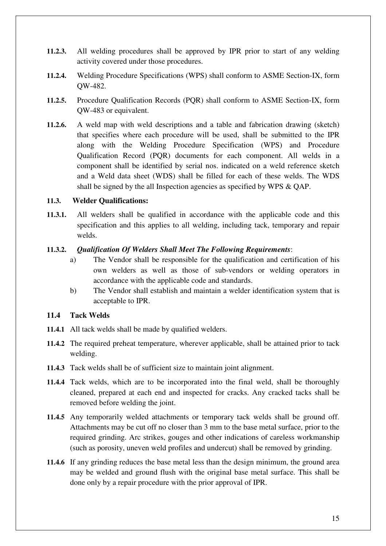- **11.2.3.** All welding procedures shall be approved by IPR prior to start of any welding activity covered under those procedures.
- **11.2.4.** Welding Procedure Specifications (WPS) shall conform to ASME Section-IX, form QW-482.
- **11.2.5.** Procedure Qualification Records (PQR) shall conform to ASME Section-IX, form QW-483 or equivalent.
- **11.2.6.** A weld map with weld descriptions and a table and fabrication drawing (sketch) that specifies where each procedure will be used, shall be submitted to the IPR along with the Welding Procedure Specification (WPS) and Procedure Qualification Record (PQR) documents for each component. All welds in a component shall be identified by serial nos. indicated on a weld reference sketch and a Weld data sheet (WDS) shall be filled for each of these welds. The WDS shall be signed by the all Inspection agencies as specified by WPS & QAP.

#### **11.3. Welder Qualifications:**

**11.3.1.** All welders shall be qualified in accordance with the applicable code and this specification and this applies to all welding, including tack, temporary and repair welds.

#### **11.3.2.** *Qualification Of Welders Shall Meet The Following Requirements*:

- a) The Vendor shall be responsible for the qualification and certification of his own welders as well as those of sub-vendors or welding operators in accordance with the applicable code and standards.
- b) The Vendor shall establish and maintain a welder identification system that is acceptable to IPR.

## **11.4 Tack Welds**

- **11.4.1** All tack welds shall be made by qualified welders.
- **11.4.2** The required preheat temperature, wherever applicable, shall be attained prior to tack welding.
- **11.4.3** Tack welds shall be of sufficient size to maintain joint alignment.
- **11.4.4** Tack welds, which are to be incorporated into the final weld, shall be thoroughly cleaned, prepared at each end and inspected for cracks. Any cracked tacks shall be removed before welding the joint.
- **11.4.5** Any temporarily welded attachments or temporary tack welds shall be ground off. Attachments may be cut off no closer than 3 mm to the base metal surface, prior to the required grinding. Arc strikes, gouges and other indications of careless workmanship (such as porosity, uneven weld profiles and undercut) shall be removed by grinding.
- **11.4.6** If any grinding reduces the base metal less than the design minimum, the ground area may be welded and ground flush with the original base metal surface. This shall be done only by a repair procedure with the prior approval of IPR.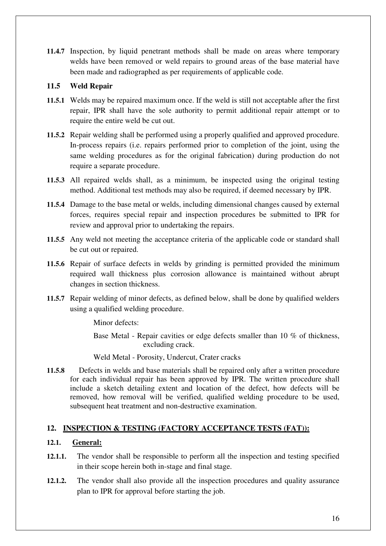**11.4.7** Inspection, by liquid penetrant methods shall be made on areas where temporary welds have been removed or weld repairs to ground areas of the base material have been made and radiographed as per requirements of applicable code.

## **11.5 Weld Repair**

- **11.5.1** Welds may be repaired maximum once. If the weld is still not acceptable after the first repair, IPR shall have the sole authority to permit additional repair attempt or to require the entire weld be cut out.
- **11.5.2** Repair welding shall be performed using a properly qualified and approved procedure. In-process repairs (i.e. repairs performed prior to completion of the joint, using the same welding procedures as for the original fabrication) during production do not require a separate procedure.
- **11.5.3** All repaired welds shall, as a minimum, be inspected using the original testing method. Additional test methods may also be required, if deemed necessary by IPR.
- **11.5.4** Damage to the base metal or welds, including dimensional changes caused by external forces, requires special repair and inspection procedures be submitted to IPR for review and approval prior to undertaking the repairs.
- **11.5.5** Any weld not meeting the acceptance criteria of the applicable code or standard shall be cut out or repaired.
- **11.5.6** Repair of surface defects in welds by grinding is permitted provided the minimum required wall thickness plus corrosion allowance is maintained without abrupt changes in section thickness.
- **11.5.7** Repair welding of minor defects, as defined below, shall be done by qualified welders using a qualified welding procedure.

Minor defects:

Base Metal - Repair cavities or edge defects smaller than 10 % of thickness, excluding crack.

Weld Metal - Porosity, Undercut, Crater cracks

**11.5.8** Defects in welds and base materials shall be repaired only after a written procedure for each individual repair has been approved by IPR. The written procedure shall include a sketch detailing extent and location of the defect, how defects will be removed, how removal will be verified, qualified welding procedure to be used, subsequent heat treatment and non-destructive examination.

## **12. INSPECTION & TESTING (FACTORY ACCEPTANCE TESTS (FAT)):**

## **12.1. General:**

- **12.1.1.** The vendor shall be responsible to perform all the inspection and testing specified in their scope herein both in-stage and final stage.
- **12.1.2.** The vendor shall also provide all the inspection procedures and quality assurance plan to IPR for approval before starting the job.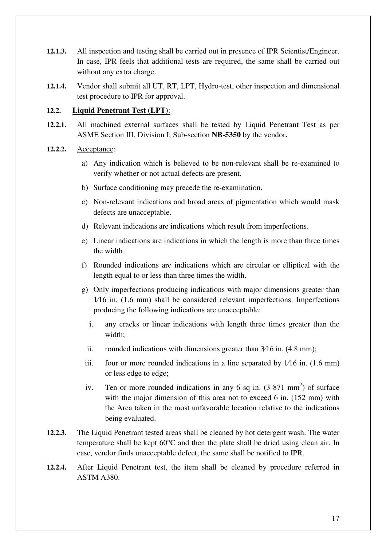- **12.1.3.** All inspection and testing shall be carried out in presence of IPR Scientist/Engineer. In case, IPR feels that additional tests are required, the same shall be carried out without any extra charge.
- **12.1.4.** Vendor shall submit all UT, RT, LPT, Hydro-test, other inspection and dimensional test procedure to IPR for approval.

## **12.2. Liquid Penetrant Test (LPT)**:

- **12.2.1.** All machined external surfaces shall be tested by Liquid Penetrant Test as per ASME Section III, Division I; Sub-section **NB-5350** by the vendor**.**
- **12.2.2.** Acceptance:
	- a) Any indication which is believed to be non-relevant shall be re-examined to verify whether or not actual defects are present.
	- b) Surface conditioning may precede the re-examination.
	- c) Non-relevant indications and broad areas of pigmentation which would mask defects are unacceptable.
	- d) Relevant indications are indications which result from imperfections.
	- e) Linear indications are indications in which the length is more than three times the width.
	- f) Rounded indications are indications which are circular or elliptical with the length equal to or less than three times the width.
	- g) Only imperfections producing indications with major dimensions greater than 1/16 in. (1.6 mm) shall be considered relevant imperfections. Imperfections producing the following indications are unacceptable:
		- i. any cracks or linear indications with length three times greater than the width;
		- ii. rounded indications with dimensions greater than  $3/16$  in.  $(4.8 \text{ mm})$ ;
	- iii. four or more rounded indications in a line separated by  $1/16$  in. (1.6 mm) or less edge to edge;
	- iv. Ten or more rounded indications in any 6 sq in.  $(3\ 871\ \text{mm}^2)$  of surface with the major dimension of this area not to exceed 6 in. (152 mm) with the Area taken in the most unfavorable location relative to the indications being evaluated.
- **12.2.3.** The Liquid Penetrant tested areas shall be cleaned by hot detergent wash. The water temperature shall be kept 60°C and then the plate shall be dried using clean air. In case, vendor finds unacceptable defect, the same shall be notified to IPR.
- **12.2.4.** After Liquid Penetrant test, the item shall be cleaned by procedure referred in ASTM A380.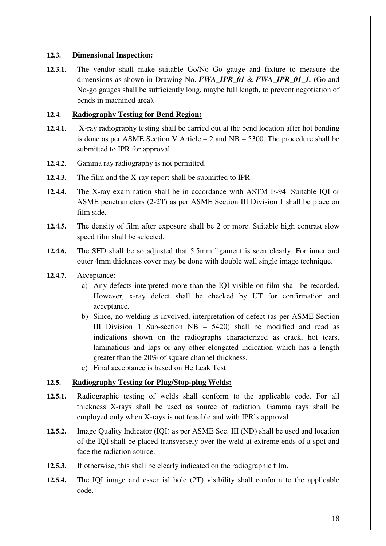## **12.3. Dimensional Inspection:**

**12.3.1.** The vendor shall make suitable Go/No Go gauge and fixture to measure the dimensions as shown in Drawing No. *FWA\_IPR\_01* & *FWA\_IPR\_01\_1.* (Go and No-go gauges shall be sufficiently long, maybe full length, to prevent negotiation of bends in machined area).

## **12.4. Radiography Testing for Bend Region:**

- **12.4.1.** X-ray radiography testing shall be carried out at the bend location after hot bending is done as per ASME Section V Article  $-2$  and NB  $-5300$ . The procedure shall be submitted to IPR for approval.
- **12.4.2.** Gamma ray radiography is not permitted.
- **12.4.3.** The film and the X-ray report shall be submitted to IPR.
- **12.4.4.** The X-ray examination shall be in accordance with ASTM E-94. Suitable IQI or ASME penetrameters (2-2T) as per ASME Section III Division 1 shall be place on film side.
- **12.4.5.** The density of film after exposure shall be 2 or more. Suitable high contrast slow speed film shall be selected.
- **12.4.6.** The SFD shall be so adjusted that 5.5mm ligament is seen clearly. For inner and outer 4mm thickness cover may be done with double wall single image technique.
- **12.4.7.** Acceptance:
	- a) Any defects interpreted more than the IQI visible on film shall be recorded. However, x-ray defect shall be checked by UT for confirmation and acceptance.
	- b) Since, no welding is involved, interpretation of defect (as per ASME Section III Division 1 Sub-section NB – 5420) shall be modified and read as indications shown on the radiographs characterized as crack, hot tears, laminations and laps or any other elongated indication which has a length greater than the 20% of square channel thickness.
	- c) Final acceptance is based on He Leak Test.

## **12.5. Radiography Testing for Plug/Stop-plug Welds:**

- **12.5.1.** Radiographic testing of welds shall conform to the applicable code. For all thickness X-rays shall be used as source of radiation. Gamma rays shall be employed only when X-rays is not feasible and with IPR's approval.
- **12.5.2.** Image Quality Indicator (IQI) as per ASME Sec. III (ND) shall be used and location of the IQI shall be placed transversely over the weld at extreme ends of a spot and face the radiation source.
- **12.5.3.** If otherwise, this shall be clearly indicated on the radiographic film.
- **12.5.4.** The IQI image and essential hole (2T) visibility shall conform to the applicable code.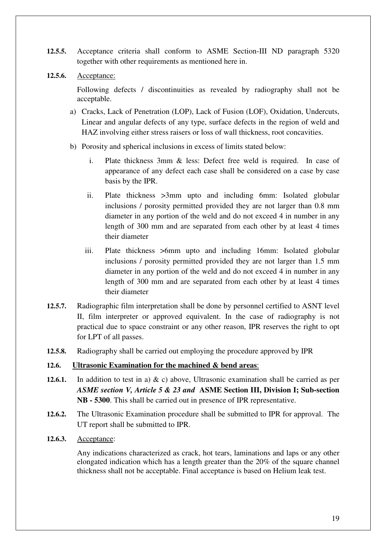- **12.5.5.** Acceptance criteria shall conform to ASME Section-III ND paragraph 5320 together with other requirements as mentioned here in.
- **12.5.6.** Acceptance:

Following defects / discontinuities as revealed by radiography shall not be acceptable.

- a) Cracks, Lack of Penetration (LOP), Lack of Fusion (LOF), Oxidation, Undercuts, Linear and angular defects of any type, surface defects in the region of weld and HAZ involving either stress raisers or loss of wall thickness, root concavities.
- b) Porosity and spherical inclusions in excess of limits stated below:
	- i. Plate thickness 3mm & less: Defect free weld is required. In case of appearance of any defect each case shall be considered on a case by case basis by the IPR.
	- ii. Plate thickness >3mm upto and including 6mm: Isolated globular inclusions / porosity permitted provided they are not larger than 0.8 mm diameter in any portion of the weld and do not exceed 4 in number in any length of 300 mm and are separated from each other by at least 4 times their diameter
	- iii. Plate thickness >6mm upto and including 16mm: Isolated globular inclusions / porosity permitted provided they are not larger than 1.5 mm diameter in any portion of the weld and do not exceed 4 in number in any length of 300 mm and are separated from each other by at least 4 times their diameter
- **12.5.7.** Radiographic film interpretation shall be done by personnel certified to ASNT level II, film interpreter or approved equivalent. In the case of radiography is not practical due to space constraint or any other reason, IPR reserves the right to opt for LPT of all passes.
- **12.5.8.** Radiography shall be carried out employing the procedure approved by IPR

## **12.6. Ultrasonic Examination for the machined & bend areas**:

- **12.6.1.** In addition to test in a) & c) above, Ultrasonic examination shall be carried as per *ASME section V, Article 5 & 23 and* **ASME Section III, Division I; Sub-section NB - 5300**. This shall be carried out in presence of IPR representative.
- **12.6.2.** The Ultrasonic Examination procedure shall be submitted to IPR for approval. The UT report shall be submitted to IPR.
- **12.6.3.** Acceptance:

Any indications characterized as crack, hot tears, laminations and laps or any other elongated indication which has a length greater than the 20% of the square channel thickness shall not be acceptable. Final acceptance is based on Helium leak test.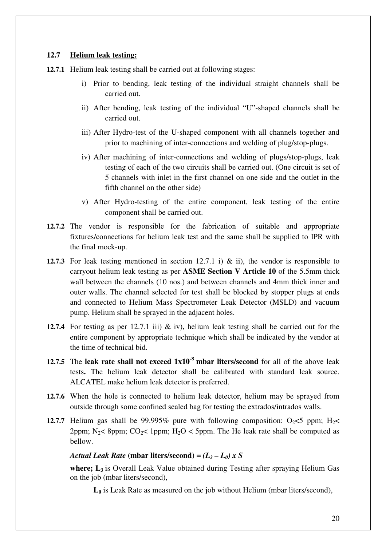#### **12.7 Helium leak testing:**

- **12.7.1** Helium leak testing shall be carried out at following stages:
	- i) Prior to bending, leak testing of the individual straight channels shall be carried out.
	- ii) After bending, leak testing of the individual "U"-shaped channels shall be carried out.
	- iii) After Hydro-test of the U-shaped component with all channels together and prior to machining of inter-connections and welding of plug/stop-plugs.
	- iv) After machining of inter-connections and welding of plugs/stop-plugs, leak testing of each of the two circuits shall be carried out. (One circuit is set of 5 channels with inlet in the first channel on one side and the outlet in the fifth channel on the other side)
	- v) After Hydro-testing of the entire component, leak testing of the entire component shall be carried out.
- **12.7.2** The vendor is responsible for the fabrication of suitable and appropriate fixtures/connections for helium leak test and the same shall be supplied to IPR with the final mock-up.
- **12.7.3** For leak testing mentioned in section 12.7.1 i)  $\&$  ii), the vendor is responsible to carryout helium leak testing as per **ASME Section V Article 10** of the 5.5mm thick wall between the channels (10 nos.) and between channels and 4mm thick inner and outer walls. The channel selected for test shall be blocked by stopper plugs at ends and connected to Helium Mass Spectrometer Leak Detector (MSLD) and vacuum pump. Helium shall be sprayed in the adjacent holes.
- **12.7.4** For testing as per 12.7.1 iii) & iv), helium leak testing shall be carried out for the entire component by appropriate technique which shall be indicated by the vendor at the time of technical bid.
- **12.7.5** The **leak rate shall not exceed 1x10-8 mbar liters/second** for all of the above leak tests**.** The helium leak detector shall be calibrated with standard leak source. ALCATEL make helium leak detector is preferred.
- **12.7.6** When the hole is connected to helium leak detector, helium may be sprayed from outside through some confined sealed bag for testing the extrados/intrados walls.
- **12.7.7** Helium gas shall be 99.995% pure with following composition:  $O_2 \le 5$  ppm;  $H_2 \le$ 2ppm; N<sub>2</sub>  $\leq$  8ppm; CO<sub>2</sub>  $\leq$  1ppm; H<sub>2</sub>O  $\leq$  5ppm. The He leak rate shall be computed as bellow.

#### *Actual Leak Rate* (mbar liters/second) =  $(L_3 - L_0)$  x S

**where; L3** is Overall Leak Value obtained during Testing after spraying Helium Gas on the job (mbar liters/second),

 **L0** is Leak Rate as measured on the job without Helium (mbar liters/second),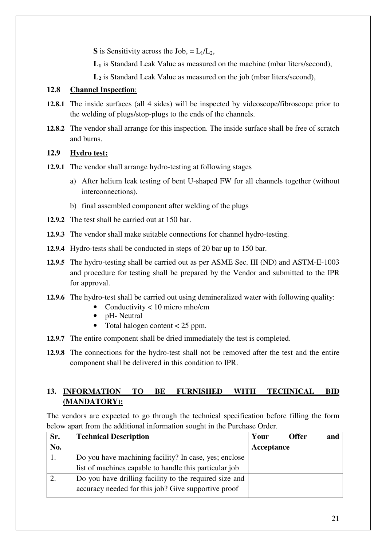**S** is Sensitivity across the Job,  $= L_1/L_2$ ,

 **L<sup>1</sup>** is Standard Leak Value as measured on the machine (mbar liters/second),

 **L<sup>2</sup>** is Standard Leak Value as measured on the job (mbar liters/second),

## **12.8 Channel Inspection**:

- **12.8.1** The inside surfaces (all 4 sides) will be inspected by videoscope/fibroscope prior to the welding of plugs/stop-plugs to the ends of the channels.
- **12.8.2** The vendor shall arrange for this inspection. The inside surface shall be free of scratch and burns.

## **12.9 Hydro test:**

- **12.9.1** The vendor shall arrange hydro-testing at following stages
	- a) After helium leak testing of bent U-shaped FW for all channels together (without interconnections).
	- b) final assembled component after welding of the plugs
- **12.9.2** The test shall be carried out at 150 bar.
- **12.9.3** The vendor shall make suitable connections for channel hydro-testing.
- **12.9.4** Hydro-tests shall be conducted in steps of 20 bar up to 150 bar.
- **12.9.5** The hydro-testing shall be carried out as per ASME Sec. III (ND) and ASTM-E-1003 and procedure for testing shall be prepared by the Vendor and submitted to the IPR for approval.
- **12.9.6** The hydro-test shall be carried out using demineralized water with following quality:
	- Conductivity < 10 micro mho/cm
	- pH- Neutral
	- Total halogen content  $<$  25 ppm.
- **12.9.7** The entire component shall be dried immediately the test is completed.
- **12.9.8** The connections for the hydro-test shall not be removed after the test and the entire component shall be delivered in this condition to IPR.

## **13. INFORMATION TO BE FURNISHED WITH TECHNICAL BID (MANDATORY):**

The vendors are expected to go through the technical specification before filling the form below apart from the additional information sought in the Purchase Order.

| Sr. | <b>Technical Description</b>                           | Your       | <b>Offer</b> | and |
|-----|--------------------------------------------------------|------------|--------------|-----|
| No. |                                                        | Acceptance |              |     |
|     | Do you have machining facility? In case, yes; enclose  |            |              |     |
|     | list of machines capable to handle this particular job |            |              |     |
|     | Do you have drilling facility to the required size and |            |              |     |
|     | accuracy needed for this job? Give supportive proof    |            |              |     |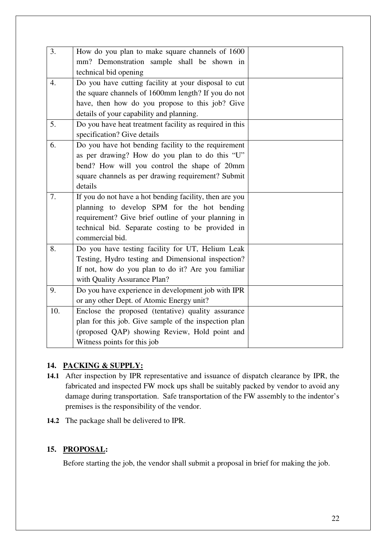| 3.               | How do you plan to make square channels of 1600         |  |
|------------------|---------------------------------------------------------|--|
|                  | mm? Demonstration sample shall be shown in              |  |
|                  | technical bid opening                                   |  |
| $\overline{4}$ . | Do you have cutting facility at your disposal to cut    |  |
|                  | the square channels of 1600mm length? If you do not     |  |
|                  | have, then how do you propose to this job? Give         |  |
|                  | details of your capability and planning.                |  |
| 5.               | Do you have heat treatment facility as required in this |  |
|                  | specification? Give details                             |  |
| 6.               | Do you have hot bending facility to the requirement     |  |
|                  | as per drawing? How do you plan to do this "U"          |  |
|                  | bend? How will you control the shape of 20mm            |  |
|                  | square channels as per drawing requirement? Submit      |  |
|                  | details                                                 |  |
| 7.               | If you do not have a hot bending facility, then are you |  |
|                  | planning to develop SPM for the hot bending             |  |
|                  | requirement? Give brief outline of your planning in     |  |
|                  | technical bid. Separate costing to be provided in       |  |
|                  | commercial bid.                                         |  |
| 8.               | Do you have testing facility for UT, Helium Leak        |  |
|                  | Testing, Hydro testing and Dimensional inspection?      |  |
|                  | If not, how do you plan to do it? Are you familiar      |  |
|                  | with Quality Assurance Plan?                            |  |
| 9.               | Do you have experience in development job with IPR      |  |
|                  | or any other Dept. of Atomic Energy unit?               |  |
| 10.              | Enclose the proposed (tentative) quality assurance      |  |
|                  | plan for this job. Give sample of the inspection plan   |  |
|                  | (proposed QAP) showing Review, Hold point and           |  |
|                  | Witness points for this job                             |  |

## **14. PACKING & SUPPLY:**

- **14.1** After inspection by IPR representative and issuance of dispatch clearance by IPR, the fabricated and inspected FW mock ups shall be suitably packed by vendor to avoid any damage during transportation. Safe transportation of the FW assembly to the indentor's premises is the responsibility of the vendor.
- **14.2** The package shall be delivered to IPR.

## **15. PROPOSAL:**

Before starting the job, the vendor shall submit a proposal in brief for making the job.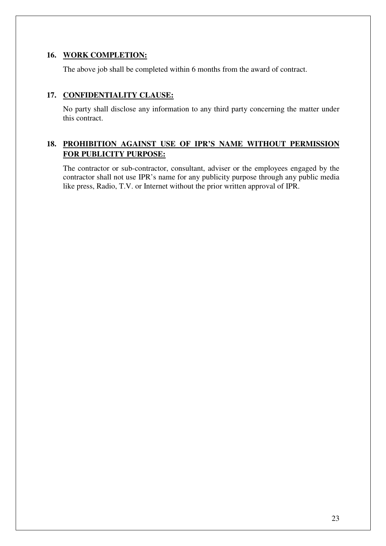#### **16. WORK COMPLETION:**

The above job shall be completed within 6 months from the award of contract.

## **17. CONFIDENTIALITY CLAUSE:**

No party shall disclose any information to any third party concerning the matter under this contract.

## **18. PROHIBITION AGAINST USE OF IPR'S NAME WITHOUT PERMISSION FOR PUBLICITY PURPOSE:**

The contractor or sub-contractor, consultant, adviser or the employees engaged by the contractor shall not use IPR's name for any publicity purpose through any public media like press, Radio, T.V. or Internet without the prior written approval of IPR.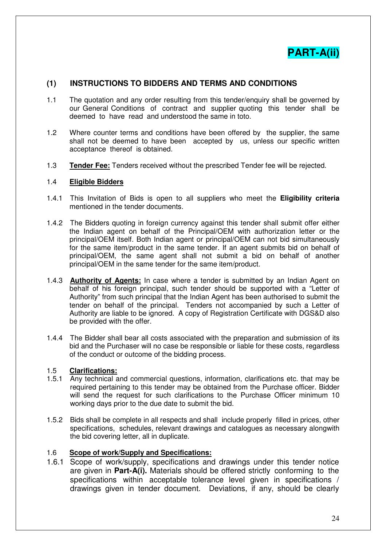

## **(1) INSTRUCTIONS TO BIDDERS AND TERMS AND CONDITIONS**

- 1.1 The quotation and any order resulting from this tender/enquiry shall be governed by our General Conditions of contract and supplier quoting this tender shall be deemed to have read and understood the same in toto.
- 1.2 Where counter terms and conditions have been offered by the supplier, the same shall not be deemed to have been accepted by us, unless our specific written acceptance thereof is obtained.
- 1.3 **Tender Fee:** Tenders received without the prescribed Tender fee will be rejected.

#### 1.4 **Eligible Bidders**

- 1.4.1 This Invitation of Bids is open to all suppliers who meet the **Eligibility criteria** mentioned in the tender documents.
- 1.4.2 The Bidders quoting in foreign currency against this tender shall submit offer either the Indian agent on behalf of the Principal/OEM with authorization letter or the principal/OEM itself. Both Indian agent or principal/OEM can not bid simultaneously for the same item/product in the same tender. If an agent submits bid on behalf of principal/OEM, the same agent shall not submit a bid on behalf of another principal/OEM in the same tender for the same item/product.
- 1.4.3 **Authority of Agents:** In case where a tender is submitted by an Indian Agent on behalf of his foreign principal, such tender should be supported with a "Letter of Authority" from such principal that the Indian Agent has been authorised to submit the tender on behalf of the principal. Tenders not accompanied by such a Letter of Authority are liable to be ignored. A copy of Registration Certificate with DGS&D also be provided with the offer.
- 1.4.4 The Bidder shall bear all costs associated with the preparation and submission of its bid and the Purchaser will no case be responsible or liable for these costs, regardless of the conduct or outcome of the bidding process.

#### 1.5 **Clarifications:**

- 1.5.1 Any technical and commercial questions, information, clarifications etc. that may be required pertaining to this tender may be obtained from the Purchase officer. Bidder will send the request for such clarifications to the Purchase Officer minimum 10 working days prior to the due date to submit the bid.
- 1.5.2 Bids shall be complete in all respects and shall include properly filled in prices, other specifications, schedules, relevant drawings and catalogues as necessary alongwith the bid covering letter, all in duplicate.

#### 1.6 **Scope of work/Supply and Specifications:**

1.6.1 Scope of work/supply, specifications and drawings under this tender notice are given in **Part-A(i).** Materials should be offered strictly conforming to the specifications within acceptable tolerance level given in specifications / drawings given in tender document. Deviations, if any, should be clearly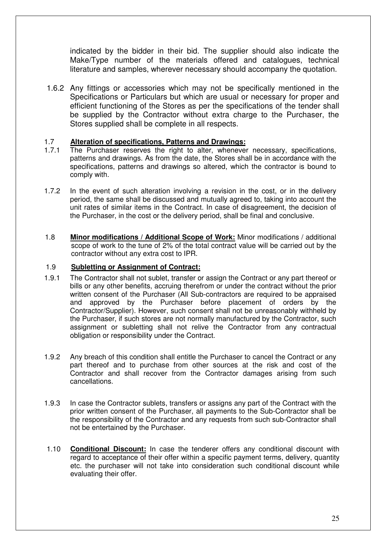indicated by the bidder in their bid. The supplier should also indicate the Make/Type number of the materials offered and catalogues, technical literature and samples, wherever necessary should accompany the quotation.

1.6.2 Any fittings or accessories which may not be specifically mentioned in the Specifications or Particulars but which are usual or necessary for proper and efficient functioning of the Stores as per the specifications of the tender shall be supplied by the Contractor without extra charge to the Purchaser, the Stores supplied shall be complete in all respects.

#### 1.7 **Alteration of specifications, Patterns and Drawings:**

- 1.7.1 The Purchaser reserves the right to alter, whenever necessary, specifications, patterns and drawings. As from the date, the Stores shall be in accordance with the specifications, patterns and drawings so altered, which the contractor is bound to comply with.
- 1.7.2 In the event of such alteration involving a revision in the cost, or in the delivery period, the same shall be discussed and mutually agreed to, taking into account the unit rates of similar items in the Contract. In case of disagreement, the decision of the Purchaser, in the cost or the delivery period, shall be final and conclusive.
- 1.8 **Minor modifications / Additional Scope of Work:** Minor modifications / additional scope of work to the tune of 2% of the total contract value will be carried out by the contractor without any extra cost to IPR.

## 1.9 **Subletting or Assignment of Contract:**

- 1.9.1 The Contractor shall not sublet, transfer or assign the Contract or any part thereof or bills or any other benefits, accruing therefrom or under the contract without the prior written consent of the Purchaser (All Sub-contractors are required to be appraised and approved by the Purchaser before placement of orders by the Contractor/Supplier). However, such consent shall not be unreasonably withheld by the Purchaser, if such stores are not normally manufactured by the Contractor, such assignment or subletting shall not relive the Contractor from any contractual obligation or responsibility under the Contract.
- 1.9.2 Any breach of this condition shall entitle the Purchaser to cancel the Contract or any part thereof and to purchase from other sources at the risk and cost of the Contractor and shall recover from the Contractor damages arising from such cancellations.
- 1.9.3 In case the Contractor sublets, transfers or assigns any part of the Contract with the prior written consent of the Purchaser, all payments to the Sub-Contractor shall be the responsibility of the Contractor and any requests from such sub-Contractor shall not be entertained by the Purchaser.
- 1.10 **Conditional Discount:** In case the tenderer offers any conditional discount with regard to acceptance of their offer within a specific payment terms, delivery, quantity etc. the purchaser will not take into consideration such conditional discount while evaluating their offer.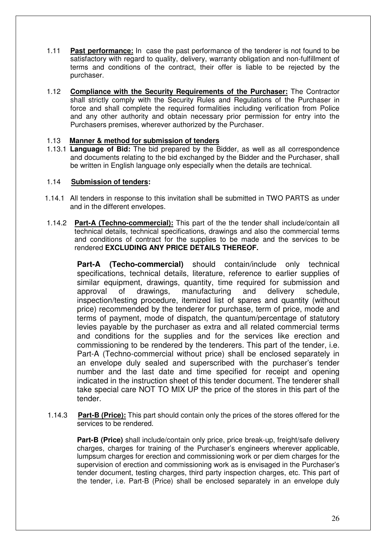- 1.11 **Past performance:** In case the past performance of the tenderer is not found to be satisfactory with regard to quality, delivery, warranty obligation and non-fulfillment of terms and conditions of the contract, their offer is liable to be rejected by the purchaser.
- 1.12 **Compliance with the Security Requirements of the Purchaser:** The Contractor shall strictly comply with the Security Rules and Regulations of the Purchaser in force and shall complete the required formalities including verification from Police and any other authority and obtain necessary prior permission for entry into the Purchasers premises, wherever authorized by the Purchaser.

## 1.13 **Manner & method for submission of tenders**

1.13.1 **Language of Bid:** The bid prepared by the Bidder, as well as all correspondence and documents relating to the bid exchanged by the Bidder and the Purchaser, shall be written in English language only especially when the details are technical.

#### 1.14 **Submission of tenders:**

- 1.14.1 All tenders in response to this invitation shall be submitted in TWO PARTS as under and in the different envelopes.
- 1.14.2 **Part-A (Techno-commercial):** This part of the the tender shall include/contain all technical details, technical specifications, drawings and also the commercial terms and conditions of contract for the supplies to be made and the services to be rendered **EXCLUDING ANY PRICE DETAILS THEREOF.**

**Part-A (Techo-commercial)** should contain/include only technical specifications, technical details, literature, reference to earlier supplies of similar equipment, drawings, quantity, time required for submission and approval of drawings, manufacturing and delivery schedule, inspection/testing procedure, itemized list of spares and quantity (without price) recommended by the tenderer for purchase, term of price, mode and terms of payment, mode of dispatch, the quantum/percentage of statutory levies payable by the purchaser as extra and all related commercial terms and conditions for the supplies and for the services like erection and commissioning to be rendered by the tenderers. This part of the tender, i.e. Part-A (Techno-commercial without price) shall be enclosed separately in an envelope duly sealed and superscribed with the purchaser's tender number and the last date and time specified for receipt and opening indicated in the instruction sheet of this tender document. The tenderer shall take special care NOT TO MIX UP the price of the stores in this part of the tender.

1.14.3 **Part-B (Price):** This part should contain only the prices of the stores offered for the services to be rendered.

**Part-B (Price)** shall include/contain only price, price break-up, freight/safe delivery charges, charges for training of the Purchaser's engineers wherever applicable, lumpsum charges for erection and commissioning work or per diem charges for the supervision of erection and commissioning work as is envisaged in the Purchaser's tender document, testing charges, third party inspection charges, etc. This part of the tender, i.e. Part-B (Price) shall be enclosed separately in an envelope duly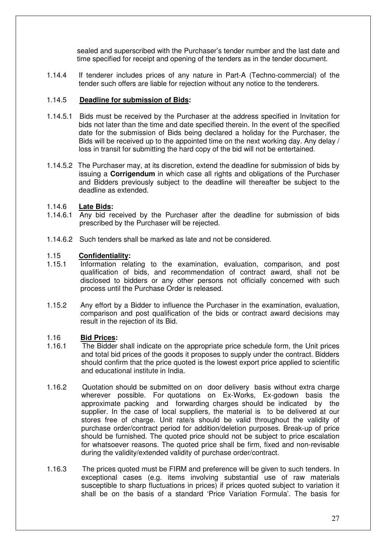sealed and superscribed with the Purchaser's tender number and the last date and time specified for receipt and opening of the tenders as in the tender document.

1.14.4 If tenderer includes prices of any nature in Part-A (Techno-commercial) of the tender such offers are liable for rejection without any notice to the tenderers.

#### 1.14.5 **Deadline for submission of Bids:**

- 1.14.5.1 Bids must be received by the Purchaser at the address specified in Invitation for bids not later than the time and date specified therein. In the event of the specified date for the submission of Bids being declared a holiday for the Purchaser, the Bids will be received up to the appointed time on the next working day. Any delay / loss in transit for submitting the hard copy of the bid will not be entertained.
- 1.14.5.2 The Purchaser may, at its discretion, extend the deadline for submission of bids by issuing a **Corrigendum** in which case all rights and obligations of the Purchaser and Bidders previously subject to the deadline will thereafter be subject to the deadline as extended.

#### 1.14.6 **Late Bids:**

- 1.14.6.1 Any bid received by the Purchaser after the deadline for submission of bids prescribed by the Purchaser will be rejected.
- 1.14.6.2 Such tenders shall be marked as late and not be considered.

#### 1.15 **Confidentiality:**

- 1.15.1 Information relating to the examination, evaluation, comparison, and post qualification of bids, and recommendation of contract award, shall not be disclosed to bidders or any other persons not officially concerned with such process until the Purchase Order is released.
- 1.15.2 Any effort by a Bidder to influence the Purchaser in the examination, evaluation, comparison and post qualification of the bids or contract award decisions may result in the rejection of its Bid.

#### 1.16 **Bid Prices:**

- 1.16.1 The Bidder shall indicate on the appropriate price schedule form, the Unit prices and total bid prices of the goods it proposes to supply under the contract. Bidders should confirm that the price quoted is the lowest export price applied to scientific and educational institute in India.
- 1.16.2 Quotation should be submitted on on door delivery basis without extra charge wherever possible. For quotations on Ex-Works, Ex-godown basis the approximate packing and forwarding charges should be indicated by the supplier. In the case of local suppliers, the material is to be delivered at our stores free of charge. Unit rate/s should be valid throughout the validity of purchase order/contract period for addition/deletion purposes. Break-up of price should be furnished. The quoted price should not be subject to price escalation for whatsoever reasons. The quoted price shall be firm, fixed and non-revisable during the validity/extended validity of purchase order/contract.
- 1.16.3 The prices quoted must be FIRM and preference will be given to such tenders. In exceptional cases (e.g. items involving substantial use of raw materials susceptible to sharp fluctuations in prices) if prices quoted subject to variation it shall be on the basis of a standard 'Price Variation Formula'. The basis for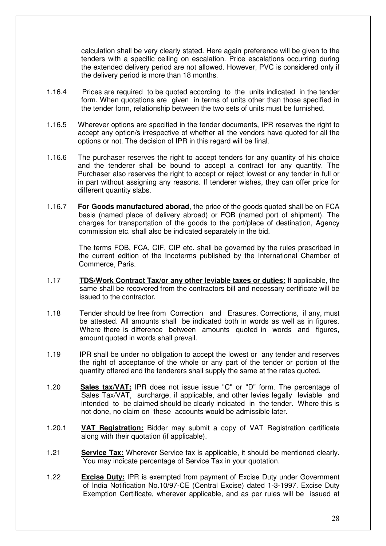calculation shall be very clearly stated. Here again preference will be given to the tenders with a specific ceiling on escalation. Price escalations occurring during the extended delivery period are not allowed. However, PVC is considered only if the delivery period is more than 18 months.

- 1.16.4 Prices are required to be quoted according to the units indicated in the tender form. When quotations are given in terms of units other than those specified in the tender form, relationship between the two sets of units must be furnished.
- 1.16.5 Wherever options are specified in the tender documents, IPR reserves the right to accept any option/s irrespective of whether all the vendors have quoted for all the options or not. The decision of IPR in this regard will be final.
- 1.16.6 The purchaser reserves the right to accept tenders for any quantity of his choice and the tenderer shall be bound to accept a contract for any quantity. The Purchaser also reserves the right to accept or reject lowest or any tender in full or in part without assigning any reasons. If tenderer wishes, they can offer price for different quantity slabs.
- 1.16.7 **For Goods manufactured aborad**, the price of the goods quoted shall be on FCA basis (named place of delivery abroad) or FOB (named port of shipment). The charges for transportation of the goods to the port/place of destination, Agency commission etc. shall also be indicated separately in the bid.

The terms FOB, FCA, CIF, CIP etc. shall be governed by the rules prescribed in the current edition of the Incoterms published by the International Chamber of Commerce, Paris.

- 1.17 **TDS/Work Contract Tax/or any other leviable taxes or duties:** If applicable, the same shall be recovered from the contractors bill and necessary certificate will be issued to the contractor.
- 1.18 Tender should be free from Correction and Erasures. Corrections, if any, must be attested. All amounts shall be indicated both in words as well as in figures. Where there is difference between amounts quoted in words and figures, amount quoted in words shall prevail.
- 1.19 IPR shall be under no obligation to accept the lowest or any tender and reserves the right of acceptance of the whole or any part of the tender or portion of the quantity offered and the tenderers shall supply the same at the rates quoted.
- 1.20 **Sales tax/VAT:** IPR does not issue issue "C" or "D" form. The percentage of Sales Tax/VAT, surcharge, if applicable, and other levies legally leviable and intended to be claimed should be clearly indicated in the tender. Where this is not done, no claim on these accounts would be admissible later.
- 1.20.1 **VAT Registration:** Bidder may submit a copy of VAT Registration certificate along with their quotation (if applicable).
- 1.21 **Service Tax:** Wherever Service tax is applicable, it should be mentioned clearly. You may indicate percentage of Service Tax in your quotation.
- 1.22 **Excise Duty:** IPR is exempted from payment of Excise Duty under Government of India Notification No.10/97-CE (Central Excise) dated 1-3-1997. Excise Duty Exemption Certificate, wherever applicable, and as per rules will be issued at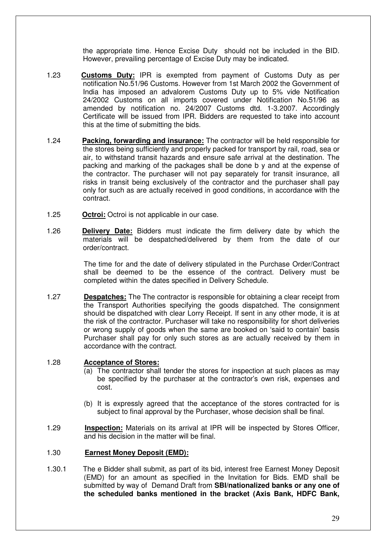the appropriate time. Hence Excise Duty should not be included in the BID. However, prevailing percentage of Excise Duty may be indicated.

- 1.23 **Customs Duty:** IPR is exempted from payment of Customs Duty as per notification No.51/96 Customs. However from 1st March 2002 the Government of India has imposed an advalorem Customs Duty up to 5% vide Notification 24/2002 Customs on all imports covered under Notification No.51/96 as amended by notification no. 24/2007 Customs dtd. 1-3.2007. Accordingly Certificate will be issued from IPR. Bidders are requested to take into account this at the time of submitting the bids.
- 1.24 **Packing, forwarding and insurance:** The contractor will be held responsible for the stores being sufficiently and properly packed for transport by rail, road, sea or air, to withstand transit hazards and ensure safe arrival at the destination. The packing and marking of the packages shall be done b y and at the expense of the contractor. The purchaser will not pay separately for transit insurance, all risks in transit being exclusively of the contractor and the purchaser shall pay only for such as are actually received in good conditions, in accordance with the contract.
- 1.25 **Octroi:** Octroi is not applicable in our case.
- 1.26 **Delivery Date:** Bidders must indicate the firm delivery date by which the materials will be despatched/delivered by them from the date of our order/contract.

The time for and the date of delivery stipulated in the Purchase Order/Contract shall be deemed to be the essence of the contract. Delivery must be completed within the dates specified in Delivery Schedule.

1.27 **Despatches:** The The contractor is responsible for obtaining a clear receipt from the Transport Authorities specifying the goods dispatched. The consignment should be dispatched with clear Lorry Receipt. If sent in any other mode, it is at the risk of the contractor. Purchaser will take no responsibility for short deliveries or wrong supply of goods when the same are booked on 'said to contain' basis Purchaser shall pay for only such stores as are actually received by them in accordance with the contract.

#### 1.28 **Acceptance of Stores:**

- (a) The contractor shall tender the stores for inspection at such places as may be specified by the purchaser at the contractor's own risk, expenses and cost.
- (b) It is expressly agreed that the acceptance of the stores contracted for is subject to final approval by the Purchaser, whose decision shall be final.
- 1.29 **Inspection:** Materials on its arrival at IPR will be inspected by Stores Officer, and his decision in the matter will be final.

#### 1.30 **Earnest Money Deposit (EMD):**

1.30.1 The e Bidder shall submit, as part of its bid, interest free Earnest Money Deposit (EMD) for an amount as specified in the Invitation for Bids. EMD shall be submitted by way of Demand Draft from **SBI/nationalized banks or any one of the scheduled banks mentioned in the bracket (Axis Bank, HDFC Bank,**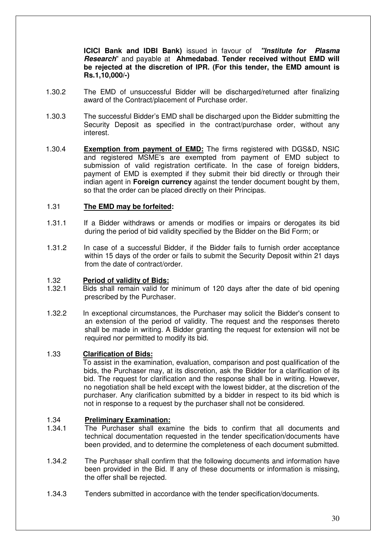**ICICI Bank and IDBI Bank)** issued in favour of **"Institute for Plasma Research**" and payable at **Ahmedabad**. **Tender received without EMD will be rejected at the discretion of IPR. (For this tender, the EMD amount is Rs.1,10,000/-)** 

- 1.30.2 The EMD of unsuccessful Bidder will be discharged/returned after finalizing award of the Contract/placement of Purchase order.
- 1.30.3 The successful Bidder's EMD shall be discharged upon the Bidder submitting the Security Deposit as specified in the contract/purchase order, without any interest.
- 1.30.4 **Exemption from payment of EMD:** The firms registered with DGS&D, NSIC and registered MSME's are exempted from payment of EMD subject to submission of valid registration certificate. In the case of foreign bidders, payment of EMD is exempted if they submit their bid directly or through their indian agent in **Foreign currency** against the tender document bought by them, so that the order can be placed directly on their Principas.

#### 1.31 **The EMD may be forfeited:**

- 1.31.1 If a Bidder withdraws or amends or modifies or impairs or derogates its bid during the period of bid validity specified by the Bidder on the Bid Form; or
- 1.31.2 In case of a successful Bidder, if the Bidder fails to furnish order acceptance within 15 days of the order or fails to submit the Security Deposit within 21 days from the date of contract/order.

# 1.32 **Period of validity of Bids:**

- Bids shall remain valid for minimum of 120 days after the date of bid opening prescribed by the Purchaser.
- 1.32.2 In exceptional circumstances, the Purchaser may solicit the Bidder's consent to an extension of the period of validity. The request and the responses thereto shall be made in writing. A Bidder granting the request for extension will not be required nor permitted to modify its bid.

#### 1.33 **Clarification of Bids:**

To assist in the examination, evaluation, comparison and post qualification of the bids, the Purchaser may, at its discretion, ask the Bidder for a clarification of its bid. The request for clarification and the response shall be in writing. However, no negotiation shall be held except with the lowest bidder, at the discretion of the purchaser. Any clarification submitted by a bidder in respect to its bid which is not in response to a request by the purchaser shall not be considered.

#### 1.34 **Preliminary Examination:**

- 1.34.1 The Purchaser shall examine the bids to confirm that all documents and technical documentation requested in the tender specification/documents have been provided, and to determine the completeness of each document submitted.
- 1.34.2 The Purchaser shall confirm that the following documents and information have been provided in the Bid. If any of these documents or information is missing, the offer shall be rejected.
- 1.34.3 Tenders submitted in accordance with the tender specification/documents.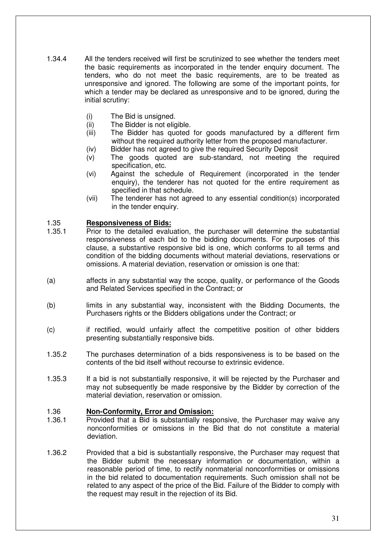- 1.34.4 All the tenders received will first be scrutinized to see whether the tenders meet the basic requirements as incorporated in the tender enquiry document. The tenders, who do not meet the basic requirements, are to be treated as unresponsive and ignored. The following are some of the important points, for which a tender may be declared as unresponsive and to be ignored, during the initial scrutiny:
	- (i) The Bid is unsigned.
	- (ii) The Bidder is not eligible.
	- (iii) The Bidder has quoted for goods manufactured by a different firm without the required authority letter from the proposed manufacturer.
	- (iv) Bidder has not agreed to give the required Security Deposit
	- (v) The goods quoted are sub-standard, not meeting the required specification, etc.
	- (vi) Against the schedule of Requirement (incorporated in the tender enquiry), the tenderer has not quoted for the entire requirement as specified in that schedule.
	- (vii) The tenderer has not agreed to any essential condition(s) incorporated in the tender enquiry.

#### 1.35 **Responsiveness of Bids:**

- 1.35.1 Prior to the detailed evaluation, the purchaser will determine the substantial responsiveness of each bid to the bidding documents. For purposes of this clause, a substantive responsive bid is one, which conforms to all terms and condition of the bidding documents without material deviations, reservations or omissions. A material deviation, reservation or omission is one that:
- (a) affects in any substantial way the scope, quality, or performance of the Goods and Related Services specified in the Contract; or
- (b) limits in any substantial way, inconsistent with the Bidding Documents, the Purchasers rights or the Bidders obligations under the Contract; or
- (c) if rectified, would unfairly affect the competitive position of other bidders presenting substantially responsive bids.
- 1.35.2 The purchases determination of a bids responsiveness is to be based on the contents of the bid itself without recourse to extrinsic evidence.
- 1.35.3 If a bid is not substantially responsive, it will be rejected by the Purchaser and may not subsequently be made responsive by the Bidder by correction of the material deviation, reservation or omission.

#### 1.36 **Non-Conformity, Error and Omission:**

- 1.36.1 Provided that a Bid is substantially responsive, the Purchaser may waive any nonconformities or omissions in the Bid that do not constitute a material deviation.
- 1.36.2 Provided that a bid is substantially responsive, the Purchaser may request that the Bidder submit the necessary information or documentation, within a reasonable period of time, to rectify nonmaterial nonconformities or omissions in the bid related to documentation requirements. Such omission shall not be related to any aspect of the price of the Bid. Failure of the Bidder to comply with the request may result in the rejection of its Bid.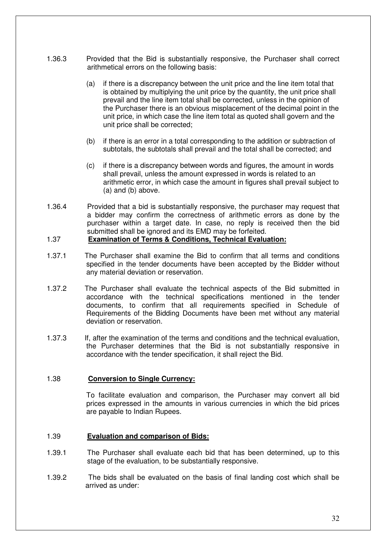- 1.36.3 Provided that the Bid is substantially responsive, the Purchaser shall correct arithmetical errors on the following basis:
	- (a) if there is a discrepancy between the unit price and the line item total that is obtained by multiplying the unit price by the quantity, the unit price shall prevail and the line item total shall be corrected, unless in the opinion of the Purchaser there is an obvious misplacement of the decimal point in the unit price, in which case the line item total as quoted shall govern and the unit price shall be corrected;
	- (b) if there is an error in a total corresponding to the addition or subtraction of subtotals, the subtotals shall prevail and the total shall be corrected; and
	- (c) if there is a discrepancy between words and figures, the amount in words shall prevail, unless the amount expressed in words is related to an arithmetic error, in which case the amount in figures shall prevail subject to (a) and (b) above.
- 1.36.4 Provided that a bid is substantially responsive, the purchaser may request that a bidder may confirm the correctness of arithmetic errors as done by the purchaser within a target date. In case, no reply is received then the bid submitted shall be ignored and its EMD may be forfeited.

#### 1.37 **Examination of Terms & Conditions, Technical Evaluation:**

- 1.37.1 The Purchaser shall examine the Bid to confirm that all terms and conditions specified in the tender documents have been accepted by the Bidder without any material deviation or reservation.
- 1.37.2 The Purchaser shall evaluate the technical aspects of the Bid submitted in accordance with the technical specifications mentioned in the tender documents, to confirm that all requirements specified in Schedule of Requirements of the Bidding Documents have been met without any material deviation or reservation.
- 1.37.3 If, after the examination of the terms and conditions and the technical evaluation, the Purchaser determines that the Bid is not substantially responsive in accordance with the tender specification, it shall reject the Bid.

#### 1.38 **Conversion to Single Currency:**

 To facilitate evaluation and comparison, the Purchaser may convert all bid prices expressed in the amounts in various currencies in which the bid prices are payable to Indian Rupees.

#### 1.39 **Evaluation and comparison of Bids:**

- 1.39.1 The Purchaser shall evaluate each bid that has been determined, up to this stage of the evaluation, to be substantially responsive.
- 1.39.2 The bids shall be evaluated on the basis of final landing cost which shall be arrived as under: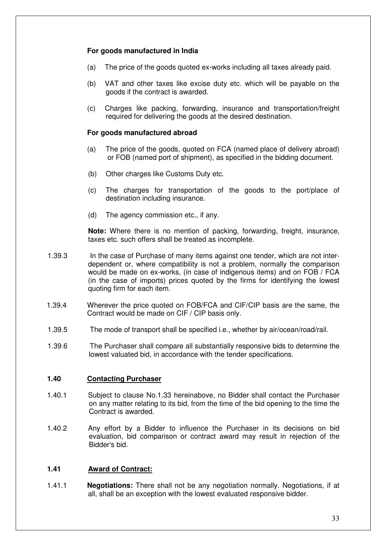#### **For goods manufactured in India**

- (a) The price of the goods quoted ex-works including all taxes already paid.
- (b) VAT and other taxes like excise duty etc. which will be payable on the goods if the contract is awarded.
- (c) Charges like packing, forwarding, insurance and transportation/freight required for delivering the goods at the desired destination.

#### **For goods manufactured abroad**

- (a) The price of the goods, quoted on FCA (named place of delivery abroad) or FOB (named port of shipment), as specified in the bidding document.
- (b) Other charges like Customs Duty etc.
- (c) The charges for transportation of the goods to the port/place of destination including insurance.
- (d) The agency commission etc., if any.

**Note:** Where there is no mention of packing, forwarding, freight, insurance, taxes etc. such offers shall be treated as incomplete.

- 1.39.3 In the case of Purchase of many items against one tender, which are not interdependent or, where compatibility is not a problem, normally the comparison would be made on ex-works, (in case of indigenous items) and on FOB / FCA (in the case of imports) prices quoted by the firms for identifying the lowest quoting firm for each item.
- 1.39.4 Wherever the price quoted on FOB/FCA and CIF/CIP basis are the same, the Contract would be made on CIF / CIP basis only.
- 1.39.5 The mode of transport shall be specified i.e., whether by air/ocean/road/rail.
- 1.39.6 The Purchaser shall compare all substantially responsive bids to determine the lowest valuated bid, in accordance with the tender specifications.

#### **1.40 Contacting Purchaser**

- 1.40.1 Subject to clause No.1.33 hereinabove, no Bidder shall contact the Purchaser on any matter relating to its bid, from the time of the bid opening to the time the Contract is awarded.
- 1.40.2 Any effort by a Bidder to influence the Purchaser in its decisions on bid evaluation, bid comparison or contract award may result in rejection of the Bidder's bid.

#### **1.41 Award of Contract:**

1.41.1 **Negotiations:** There shall not be any negotiation normally. Negotiations, if at all, shall be an exception with the lowest evaluated responsive bidder.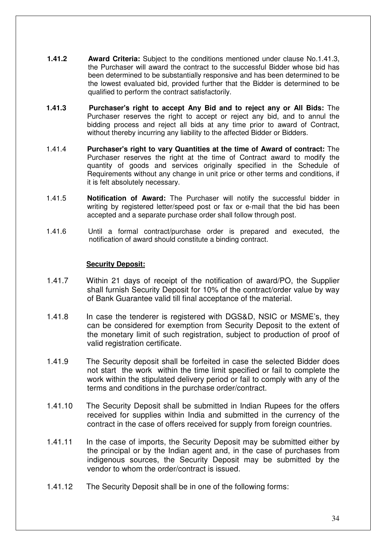- **1.41.2 Award Criteria:** Subject to the conditions mentioned under clause No.1.41.3, the Purchaser will award the contract to the successful Bidder whose bid has been determined to be substantially responsive and has been determined to be the lowest evaluated bid, provided further that the Bidder is determined to be qualified to perform the contract satisfactorily.
- **1.41.3 Purchaser's right to accept Any Bid and to reject any or All Bids:** The Purchaser reserves the right to accept or reject any bid, and to annul the bidding process and reject all bids at any time prior to award of Contract, without thereby incurring any liability to the affected Bidder or Bidders.
- 1.41.4 **Purchaser's right to vary Quantities at the time of Award of contract:** The Purchaser reserves the right at the time of Contract award to modify the quantity of goods and services originally specified in the Schedule of Requirements without any change in unit price or other terms and conditions, if it is felt absolutely necessary.
- 1.41.5 **Notification of Award:** The Purchaser will notify the successful bidder in writing by registered letter/speed post or fax or e-mail that the bid has been accepted and a separate purchase order shall follow through post.
- 1.41.6 Until a formal contract/purchase order is prepared and executed, the notification of award should constitute a binding contract.

#### **Security Deposit:**

- 1.41.7 Within 21 days of receipt of the notification of award/PO, the Supplier shall furnish Security Deposit for 10% of the contract/order value by way of Bank Guarantee valid till final acceptance of the material.
- 1.41.8 In case the tenderer is registered with DGS&D, NSIC or MSME's, they can be considered for exemption from Security Deposit to the extent of the monetary limit of such registration, subject to production of proof of valid registration certificate.
- 1.41.9 The Security deposit shall be forfeited in case the selected Bidder does not start the work within the time limit specified or fail to complete the work within the stipulated delivery period or fail to comply with any of the terms and conditions in the purchase order/contract.
- 1.41.10 The Security Deposit shall be submitted in Indian Rupees for the offers received for supplies within India and submitted in the currency of the contract in the case of offers received for supply from foreign countries.
- 1.41.11 In the case of imports, the Security Deposit may be submitted either by the principal or by the Indian agent and, in the case of purchases from indigenous sources, the Security Deposit may be submitted by the vendor to whom the order/contract is issued.
- 1.41.12 The Security Deposit shall be in one of the following forms: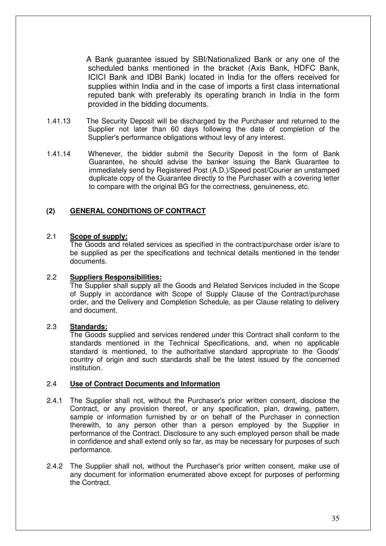A Bank guarantee issued by SBI/Nationalized Bank or any one of the scheduled banks mentioned in the bracket (Axis Bank, HDFC Bank, ICICI Bank and IDBI Bank) located in India for the offers received for supplies within India and in the case of imports a first class international reputed bank with preferably its operating branch in India in the form provided in the bidding documents.

- 1.41.13 The Security Deposit will be discharged by the Purchaser and returned to the Supplier not later than 60 days following the date of completion of the Supplier's performance obligations without levy of any interest.
- 1.41.14 Whenever, the bidder submit the Security Deposit in the form of Bank Guarantee, he should advise the banker issuing the Bank Guarantee to immediately send by Registered Post (A.D.)/Speed post/Courier an unstamped duplicate copy of the Guarantee directly to the Purchaser with a covering letter to compare with the original BG for the correctness, genuineness, etc.

#### **(2) GENERAL CONDITIONS OF CONTRACT**

#### 2.1 **Scope of supply:**

The Goods and related services as specified in the contract/purchase order is/are to be supplied as per the specifications and technical details mentioned in the tender documents.

#### 2.2 **Suppliers Responsibilities:**

The Supplier shall supply all the Goods and Related Services included in the Scope of Supply in accordance with Scope of Supply Clause of the Contract/purchase order, and the Delivery and Completion Schedule, as per Clause relating to delivery and document.

#### 2.3 **Standards:**

The Goods supplied and services rendered under this Contract shall conform to the standards mentioned in the Technical Specifications, and, when no applicable standard is mentioned, to the authoritative standard appropriate to the Goods' country of origin and such standards shall be the latest issued by the concerned institution.

#### 2.4 **Use of Contract Documents and Information**

- 2.4.1 The Supplier shall not, without the Purchaser's prior written consent, disclose the Contract, or any provision thereof, or any specification, plan, drawing, pattern, sample or information furnished by or on behalf of the Purchaser in connection therewith, to any person other than a person employed by the Supplier in performance of the Contract. Disclosure to any such employed person shall be made in confidence and shall extend only so far, as may be necessary for purposes of such performance.
- 2.4.2 The Supplier shall not, without the Purchaser's prior written consent, make use of any document for information enumerated above except for purposes of performing the Contract.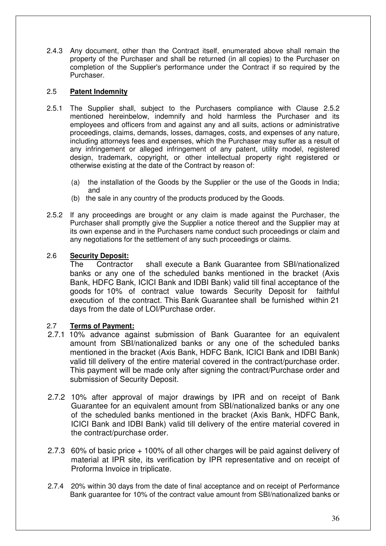2.4.3 Any document, other than the Contract itself, enumerated above shall remain the property of the Purchaser and shall be returned (in all copies) to the Purchaser on completion of the Supplier's performance under the Contract if so required by the Purchaser.

## 2.5 **Patent Indemnity**

- 2.5.1 The Supplier shall, subject to the Purchasers compliance with Clause 2.5.2 mentioned hereinbelow, indemnify and hold harmless the Purchaser and its employees and officers from and against any and all suits, actions or administrative proceedings, claims, demands, losses, damages, costs, and expenses of any nature, including attorneys fees and expenses, which the Purchaser may suffer as a result of any infringement or alleged infringement of any patent, utility model, registered design, trademark, copyright, or other intellectual property right registered or otherwise existing at the date of the Contract by reason of:
	- (a) the installation of the Goods by the Supplier or the use of the Goods in India; and
	- (b) the sale in any country of the products produced by the Goods.
- 2.5.2 If any proceedings are brought or any claim is made against the Purchaser, the Purchaser shall promptly give the Supplier a notice thereof and the Supplier may at its own expense and in the Purchasers name conduct such proceedings or claim and any negotiations for the settlement of any such proceedings or claims.

## 2.6 **Security Deposit:**

 The Contractor shall execute a Bank Guarantee from SBI/nationalized banks or any one of the scheduled banks mentioned in the bracket (Axis Bank, HDFC Bank, ICICI Bank and IDBI Bank) valid till final acceptance of the goods for 10% of contract value towards Security Deposit for faithful execution of the contract. This Bank Guarantee shall be furnished within 21 days from the date of LOI/Purchase order.

## 2.7 **Terms of Payment:**

- 2.7.1 10% advance against submission of Bank Guarantee for an equivalent amount from SBI/nationalized banks or any one of the scheduled banks mentioned in the bracket (Axis Bank, HDFC Bank, ICICI Bank and IDBI Bank) valid till delivery of the entire material covered in the contract/purchase order. This payment will be made only after signing the contract/Purchase order and submission of Security Deposit.
- 2.7.2 10% after approval of major drawings by IPR and on receipt of Bank Guarantee for an equivalent amount from SBI/nationalized banks or any one of the scheduled banks mentioned in the bracket (Axis Bank, HDFC Bank, ICICI Bank and IDBI Bank) valid till delivery of the entire material covered in the contract/purchase order.
- 2.7.3 60% of basic price + 100% of all other charges will be paid against delivery of material at IPR site, its verification by IPR representative and on receipt of Proforma Invoice in triplicate.
- 2.7.4 20% within 30 days from the date of final acceptance and on receipt of Performance Bank guarantee for 10% of the contract value amount from SBI/nationalized banks or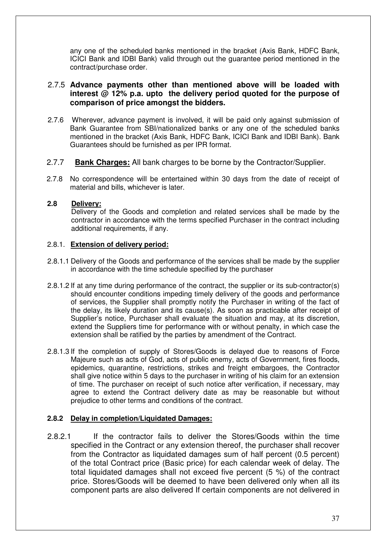any one of the scheduled banks mentioned in the bracket (Axis Bank, HDFC Bank, ICICI Bank and IDBI Bank) valid through out the guarantee period mentioned in the contract/purchase order.

## 2.7.5 **Advance payments other than mentioned above will be loaded with interest @ 12% p.a. upto the delivery period quoted for the purpose of comparison of price amongst the bidders.**

- 2.7.6 Wherever, advance payment is involved, it will be paid only against submission of Bank Guarantee from SBI/nationalized banks or any one of the scheduled banks mentioned in the bracket (Axis Bank, HDFC Bank, ICICI Bank and IDBI Bank). Bank Guarantees should be furnished as per IPR format.
- 2.7.7 **Bank Charges:** All bank charges to be borne by the Contractor/Supplier.
- 2.7.8 No correspondence will be entertained within 30 days from the date of receipt of material and bills, whichever is later.

#### **2.8 Delivery:**

Delivery of the Goods and completion and related services shall be made by the contractor in accordance with the terms specified Purchaser in the contract including additional requirements, if any.

#### 2.8.1. **Extension of delivery period:**

- 2.8.1.1 Delivery of the Goods and performance of the services shall be made by the supplier in accordance with the time schedule specified by the purchaser
- 2.8.1.2 If at any time during performance of the contract, the supplier or its sub-contractor(s) should encounter conditions impeding timely delivery of the goods and performance of services, the Supplier shall promptly notify the Purchaser in writing of the fact of the delay, its likely duration and its cause(s). As soon as practicable after receipt of Supplier's notice, Purchaser shall evaluate the situation and may, at its discretion, extend the Suppliers time for performance with or without penalty, in which case the extension shall be ratified by the parties by amendment of the Contract.
- 2.8.1.3 If the completion of supply of Stores/Goods is delayed due to reasons of Force Majeure such as acts of God, acts of public enemy, acts of Government, fires floods, epidemics, quarantine, restrictions, strikes and freight embargoes, the Contractor shall give notice within 5 days to the purchaser in writing of his claim for an extension of time. The purchaser on receipt of such notice after verification, if necessary, may agree to extend the Contract delivery date as may be reasonable but without prejudice to other terms and conditions of the contract.

#### **2.8.2 Delay in completion/Liquidated Damages:**

2.8.2.1 If the contractor fails to deliver the Stores/Goods within the time specified in the Contract or any extension thereof, the purchaser shall recover from the Contractor as liquidated damages sum of half percent (0.5 percent) of the total Contract price (Basic price) for each calendar week of delay. The total liquidated damages shall not exceed five percent (5 %) of the contract price. Stores/Goods will be deemed to have been delivered only when all its component parts are also delivered If certain components are not delivered in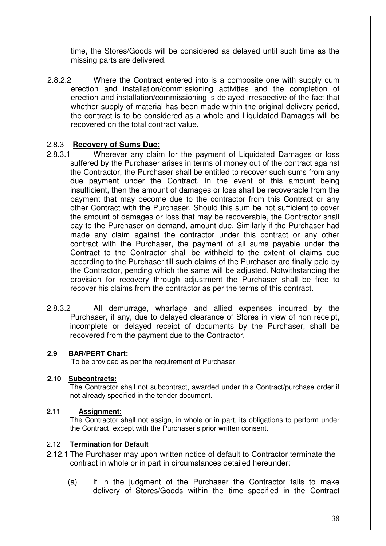time, the Stores/Goods will be considered as delayed until such time as the missing parts are delivered.

2.8.2.2 Where the Contract entered into is a composite one with supply cum erection and installation/commissioning activities and the completion of erection and installation/commissioning is delayed irrespective of the fact that whether supply of material has been made within the original delivery period, the contract is to be considered as a whole and Liquidated Damages will be recovered on the total contract value.

## 2.8.3 **Recovery of Sums Due:**

- 2.8.3.1 Wherever any claim for the payment of Liquidated Damages or loss suffered by the Purchaser arises in terms of money out of the contract against the Contractor, the Purchaser shall be entitled to recover such sums from any due payment under the Contract. In the event of this amount being insufficient, then the amount of damages or loss shall be recoverable from the payment that may become due to the contractor from this Contract or any other Contract with the Purchaser. Should this sum be not sufficient to cover the amount of damages or loss that may be recoverable, the Contractor shall pay to the Purchaser on demand, amount due. Similarly if the Purchaser had made any claim against the contractor under this contract or any other contract with the Purchaser, the payment of all sums payable under the Contract to the Contractor shall be withheld to the extent of claims due according to the Purchaser till such claims of the Purchaser are finally paid by the Contractor, pending which the same will be adjusted. Notwithstanding the provision for recovery through adjustment the Purchaser shall be free to recover his claims from the contractor as per the terms of this contract.
- 2.8.3.2 All demurrage, wharfage and allied expenses incurred by the Purchaser, if any, due to delayed clearance of Stores in view of non receipt, incomplete or delayed receipt of documents by the Purchaser, shall be recovered from the payment due to the Contractor.

## **2.9 BAR/PERT Chart:**

To be provided as per the requirement of Purchaser.

## **2.10 Subcontracts:**

The Contractor shall not subcontract, awarded under this Contract/purchase order if not already specified in the tender document.

## **2.11 Assignment:**

The Contractor shall not assign, in whole or in part, its obligations to perform under the Contract, except with the Purchaser's prior written consent.

## 2.12 **Termination for Default**

- 2.12.1 The Purchaser may upon written notice of default to Contractor terminate the contract in whole or in part in circumstances detailed hereunder:
	- (a) If in the judgment of the Purchaser the Contractor fails to make delivery of Stores/Goods within the time specified in the Contract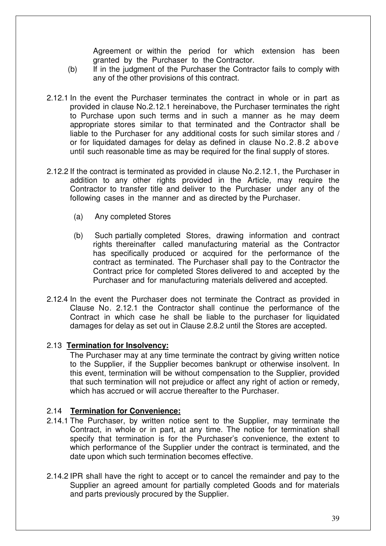Agreement or within the period for which extension has been granted by the Purchaser to the Contractor.

- (b) If in the judgment of the Purchaser the Contractor fails to comply with any of the other provisions of this contract.
- 2.12.1 In the event the Purchaser terminates the contract in whole or in part as provided in clause No.2.12.1 hereinabove, the Purchaser terminates the right to Purchase upon such terms and in such a manner as he may deem appropriate stores similar to that terminated and the Contractor shall be liable to the Purchaser for any additional costs for such similar stores and / or for liquidated damages for delay as defined in clause No.2.8.2 above until such reasonable time as may be required for the final supply of stores.
- 2.12.2 If the contract is terminated as provided in clause No.2.12.1, the Purchaser in addition to any other rights provided in the Article, may require the Contractor to transfer title and deliver to the Purchaser under any of the following cases in the manner and as directed by the Purchaser.
	- (a) Any completed Stores
	- (b) Such partially completed Stores, drawing information and contract rights thereinafter called manufacturing material as the Contractor has specifically produced or acquired for the performance of the contract as terminated. The Purchaser shall pay to the Contractor the Contract price for completed Stores delivered to and accepted by the Purchaser and for manufacturing materials delivered and accepted.
- 2.12.4 In the event the Purchaser does not terminate the Contract as provided in Clause No. 2.12.1 the Contractor shall continue the performance of the Contract in which case he shall be liable to the purchaser for liquidated damages for delay as set out in Clause 2.8.2 until the Stores are accepted.

## 2.13 **Termination for Insolvency:**

The Purchaser may at any time terminate the contract by giving written notice to the Supplier, if the Supplier becomes bankrupt or otherwise insolvent. In this event, termination will be without compensation to the Supplier, provided that such termination will not prejudice or affect any right of action or remedy, which has accrued or will accrue thereafter to the Purchaser.

## 2.14 **Termination for Convenience:**

- 2.14.1 The Purchaser, by written notice sent to the Supplier, may terminate the Contract, in whole or in part, at any time. The notice for termination shall specify that termination is for the Purchaser's convenience, the extent to which performance of the Supplier under the contract is terminated, and the date upon which such termination becomes effective.
- 2.14.2 IPR shall have the right to accept or to cancel the remainder and pay to the Supplier an agreed amount for partially completed Goods and for materials and parts previously procured by the Supplier.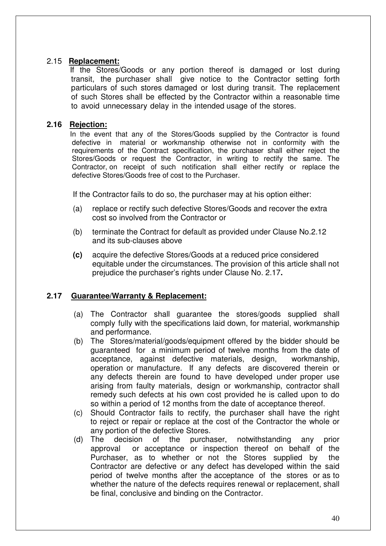## 2.15 **Replacement:**

If the Stores/Goods or any portion thereof is damaged or lost during transit, the purchaser shall give notice to the Contractor setting forth particulars of such stores damaged or lost during transit. The replacement of such Stores shall be effected by the Contractor within a reasonable time to avoid unnecessary delay in the intended usage of the stores.

## **2.16 Rejection:**

In the event that any of the Stores/Goods supplied by the Contractor is found defective in material or workmanship otherwise not in conformity with the requirements of the Contract specification, the purchaser shall either reject the Stores/Goods or request the Contractor, in writing to rectify the same. The Contractor, on receipt of such notification shall either rectify or replace the defective Stores/Goods free of cost to the Purchaser.

If the Contractor fails to do so, the purchaser may at his option either:

- (a) replace or rectify such defective Stores/Goods and recover the extra cost so involved from the Contractor or
- (b) terminate the Contract for default as provided under Clause No.2.12 and its sub-clauses above
- **(c)** acquire the defective Stores/Goods at a reduced price considered equitable under the circumstances. The provision of this article shall not prejudice the purchaser's rights under Clause No. 2.17**.**

## **2.17 Guarantee/Warranty & Replacement:**

- (a) The Contractor shall guarantee the stores/goods supplied shall comply fully with the specifications laid down, for material, workmanship and performance.
- (b) The Stores/material/goods/equipment offered by the bidder should be guaranteed for a minimum period of twelve months from the date of acceptance, against defective materials, design, workmanship, operation or manufacture. If any defects are discovered therein or any defects therein are found to have developed under proper use arising from faulty materials, design or workmanship, contractor shall remedy such defects at his own cost provided he is called upon to do so within a period of 12 months from the date of acceptance thereof.
- (c) Should Contractor fails to rectify, the purchaser shall have the right to reject or repair or replace at the cost of the Contractor the whole or any portion of the defective Stores.
- (d) The decision of the purchaser, notwithstanding any prior approval or acceptance or inspection thereof on behalf of the Purchaser, as to whether or not the Stores supplied by the Contractor are defective or any defect has developed within the said period of twelve months after the acceptance of the stores or as to whether the nature of the defects requires renewal or replacement, shall be final, conclusive and binding on the Contractor.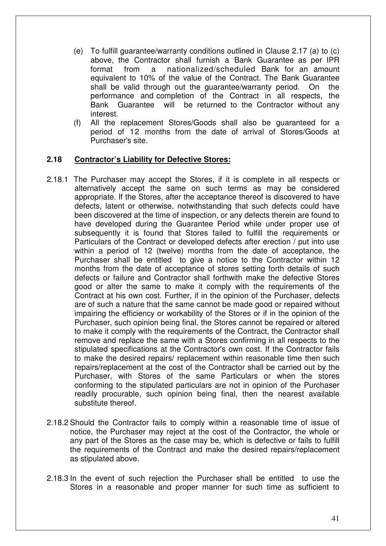- (e) To fulfill guarantee/warranty conditions outlined in Clause 2.17 (a) to (c) above, the Contractor shall furnish a Bank Guarantee as per IPR format from a nationalized/scheduled Bank for an amount equivalent to 10% of the value of the Contract. The Bank Guarantee shall be valid through out the guarantee/warranty period. On the performance and completion of the Contract in all respects, the Bank Guarantee will be returned to the Contractor without any interest.
- (f) All the replacement Stores/Goods shall also be guaranteed for a period of 12 months from the date of arrival of Stores/Goods at Purchaser's site.

#### **2.18 Contractor's Liability for Defective Stores:**

- 2.18.1 The Purchaser may accept the Stores, if it is complete in all respects or alternatively accept the same on such terms as may be considered appropriate. If the Stores, after the acceptance thereof is discovered to have defects, latent or otherwise, notwithstanding that such defects could have been discovered at the time of inspection, or any defects therein are found to have developed during the Guarantee Period while under proper use of subsequently it is found that Stores failed to fulfill the requirements or Particulars of the Contract or developed defects after erection / put into use within a period of 12 (twelve) months from the date of acceptance, the Purchaser shall be entitled to give a notice to the Contractor within 12 months from the date of acceptance of stores setting forth details of such defects or failure and Contractor shall forthwith make the defective Stores good or alter the same to make it comply with the requirements of the Contract at his own cost. Further, if in the opinion of the Purchaser, defects are of such a nature that the same cannot be made good or repaired without impairing the efficiency or workability of the Stores or if in the opinion of the Purchaser, such opinion being final, the Stores cannot be repaired or altered to make it comply with the requirements of the Contract, the Contractor shall remove and replace the same with a Stores confirming in all respects to the stipulated specifications at the Contractor's own cost. If the Contractor fails to make the desired repairs/ replacement within reasonable time then such repairs/replacement at the cost of the Contractor shall be carried out by the Purchaser, with Stores of the same Particulars or when the stores conforming to the stipulated particulars are not in opinion of the Purchaser readily procurable, such opinion being final, then the nearest available substitute thereof.
- 2.18.2 Should the Contractor fails to comply within a reasonable time of issue of notice, the Purchaser may reject at the cost of the Contractor, the whole or any part of the Stores as the case may be, which is defective or fails to fulfill the requirements of the Contract and make the desired repairs/replacement as stipulated above.
- 2.18.3 In the event of such rejection the Purchaser shall be entitled to use the Stores in a reasonable and proper manner for such time as sufficient to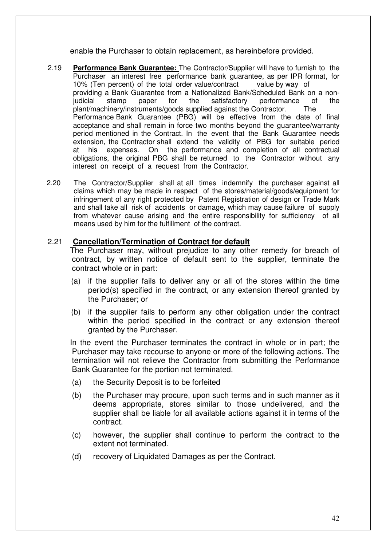enable the Purchaser to obtain replacement, as hereinbefore provided.

- 2.19 **Performance Bank Guarantee:** The Contractor/Supplier will have to furnish to the Purchaser an interest free performance bank guarantee, as per IPR format, for 10% (Ten percent) of the total order value/contract value by way of providing a Bank Guarantee from a Nationalized Bank/Scheduled Bank on a nonjudicial stamp paper for the satisfactory performance of the plant/machinery/instruments/goods supplied against the Contractor. The Performance Bank Guarantee (PBG) will be effective from the date of final acceptance and shall remain in force two months beyond the guarantee/warranty period mentioned in the Contract. In the event that the Bank Guarantee needs extension, the Contractor shall extend the validity of PBG for suitable period at his expenses. On the performance and completion of all contractual obligations, the original PBG shall be returned to the Contractor without any interest on receipt of a request from the Contractor.
- 2.20 The Contractor/Supplier shall at all times indemnify the purchaser against all claims which may be made in respect of the stores/material/goods/equipment for infringement of any right protected by Patent Registration of design or Trade Mark and shall take all risk of accidents or damage, which may cause failure of supply from whatever cause arising and the entire responsibility for sufficiency of all means used by him for the fulfillment of the contract.

#### 2.21 **Cancellation/Termination of Contract for default**

The Purchaser may, without prejudice to any other remedy for breach of contract, by written notice of default sent to the supplier, terminate the contract whole or in part:

- (a) if the supplier fails to deliver any or all of the stores within the time period(s) specified in the contract, or any extension thereof granted by the Purchaser; or
- (b) if the supplier fails to perform any other obligation under the contract within the period specified in the contract or any extension thereof granted by the Purchaser.

In the event the Purchaser terminates the contract in whole or in part; the Purchaser may take recourse to anyone or more of the following actions. The termination will not relieve the Contractor from submitting the Performance Bank Guarantee for the portion not terminated.

- (a) the Security Deposit is to be forfeited
- (b) the Purchaser may procure, upon such terms and in such manner as it deems appropriate, stores similar to those undelivered, and the supplier shall be liable for all available actions against it in terms of the contract.
- (c) however, the supplier shall continue to perform the contract to the extent not terminated.
- (d) recovery of Liquidated Damages as per the Contract.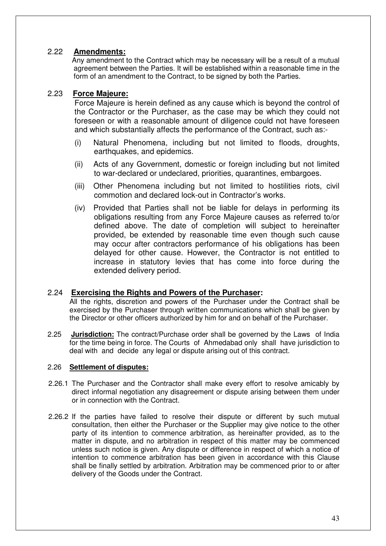## 2.22 **Amendments:**

 Any amendment to the Contract which may be necessary will be a result of a mutual agreement between the Parties. It will be established within a reasonable time in the form of an amendment to the Contract, to be signed by both the Parties.

## 2.23 **Force Majeure:**

Force Majeure is herein defined as any cause which is beyond the control of the Contractor or the Purchaser, as the case may be which they could not foreseen or with a reasonable amount of diligence could not have foreseen and which substantially affects the performance of the Contract, such as:-

- (i) Natural Phenomena, including but not limited to floods, droughts, earthquakes, and epidemics.
- (ii) Acts of any Government, domestic or foreign including but not limited to war-declared or undeclared, priorities, quarantines, embargoes.
- (iii) Other Phenomena including but not limited to hostilities riots, civil commotion and declared lock-out in Contractor's works.
- (iv) Provided that Parties shall not be liable for delays in performing its obligations resulting from any Force Majeure causes as referred to/or defined above. The date of completion will subject to hereinafter provided, be extended by reasonable time even though such cause may occur after contractors performance of his obligations has been delayed for other cause. However, the Contractor is not entitled to increase in statutory levies that has come into force during the extended delivery period.

## 2.24 **Exercising the Rights and Powers of the Purchaser:**

All the rights, discretion and powers of the Purchaser under the Contract shall be exercised by the Purchaser through written communications which shall be given by the Director or other officers authorized by him for and on behalf of the Purchaser.

2.25 **Jurisdiction:** The contract/Purchase order shall be governed by the Laws of India for the time being in force. The Courts of Ahmedabad only shall have jurisdiction to deal with and decide any legal or dispute arising out of this contract.

## 2.26 **Settlement of disputes:**

- 2.26.1 The Purchaser and the Contractor shall make every effort to resolve amicably by direct informal negotiation any disagreement or dispute arising between them under or in connection with the Contract.
- 2.26.2 If the parties have failed to resolve their dispute or different by such mutual consultation, then either the Purchaser or the Supplier may give notice to the other party of its intention to commence arbitration, as hereinafter provided, as to the matter in dispute, and no arbitration in respect of this matter may be commenced unless such notice is given. Any dispute or difference in respect of which a notice of intention to commence arbitration has been given in accordance with this Clause shall be finally settled by arbitration. Arbitration may be commenced prior to or after delivery of the Goods under the Contract.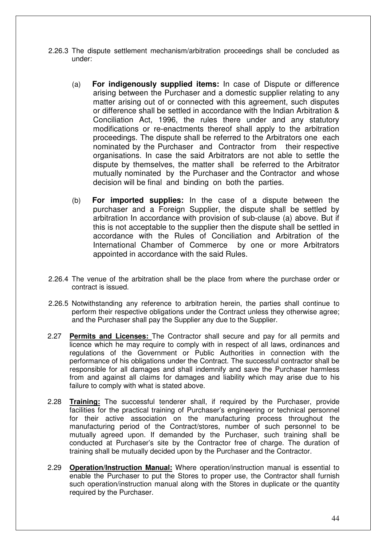- 2.26.3 The dispute settlement mechanism/arbitration proceedings shall be concluded as under:
	- (a) **For indigenously supplied items:** In case of Dispute or difference arising between the Purchaser and a domestic supplier relating to any matter arising out of or connected with this agreement, such disputes or difference shall be settled in accordance with the Indian Arbitration & Conciliation Act, 1996, the rules there under and any statutory modifications or re-enactments thereof shall apply to the arbitration proceedings. The dispute shall be referred to the Arbitrators one each nominated by the Purchaser and Contractor from their respective organisations. In case the said Arbitrators are not able to settle the dispute by themselves, the matter shall be referred to the Arbitrator mutually nominated by the Purchaser and the Contractor and whose decision will be final and binding on both the parties.
	- (b) **For imported supplies:** In the case of a dispute between the purchaser and a Foreign Supplier, the dispute shall be settled by arbitration In accordance with provision of sub-clause (a) above. But if this is not acceptable to the supplier then the dispute shall be settled in accordance with the Rules of Conciliation and Arbitration of the International Chamber of Commerce by one or more Arbitrators appointed in accordance with the said Rules.
- 2.26.4 The venue of the arbitration shall be the place from where the purchase order or contract is issued.
- 2.26.5 Notwithstanding any reference to arbitration herein, the parties shall continue to perform their respective obligations under the Contract unless they otherwise agree; and the Purchaser shall pay the Supplier any due to the Supplier.
- 2.27 **Permits and Licenses:** The Contractor shall secure and pay for all permits and licence which he may require to comply with in respect of all laws, ordinances and regulations of the Government or Public Authorities in connection with the performance of his obligations under the Contract. The successful contractor shall be responsible for all damages and shall indemnify and save the Purchaser harmless from and against all claims for damages and liability which may arise due to his failure to comply with what is stated above.
- 2.28 **Training:** The successful tenderer shall, if required by the Purchaser, provide facilities for the practical training of Purchaser's engineering or technical personnel for their active association on the manufacturing process throughout the manufacturing period of the Contract/stores, number of such personnel to be mutually agreed upon. If demanded by the Purchaser, such training shall be conducted at Purchaser's site by the Contractor free of charge. The duration of training shall be mutually decided upon by the Purchaser and the Contractor.
- 2.29 **Operation/Instruction Manual:** Where operation/instruction manual is essential to enable the Purchaser to put the Stores to proper use, the Contractor shall furnish such operation/instruction manual along with the Stores in duplicate or the quantity required by the Purchaser.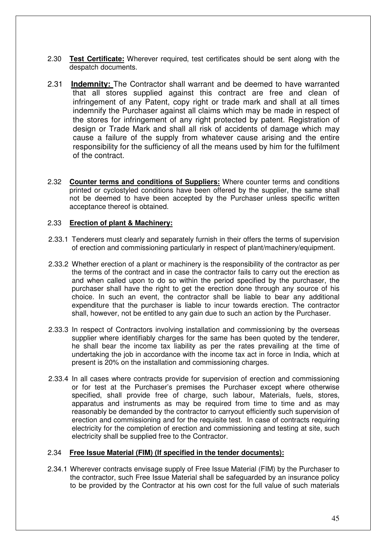- 2.30 **Test Certificate:** Wherever required, test certificates should be sent along with the despatch documents.
- 2.31 **Indemnity:** The Contractor shall warrant and be deemed to have warranted that all stores supplied against this contract are free and clean of infringement of any Patent, copy right or trade mark and shall at all times indemnify the Purchaser against all claims which may be made in respect of the stores for infringement of any right protected by patent. Registration of design or Trade Mark and shall all risk of accidents of damage which may cause a failure of the supply from whatever cause arising and the entire responsibility for the sufficiency of all the means used by him for the fulfilment of the contract.
- 2.32 **Counter terms and conditions of Suppliers:** Where counter terms and conditions printed or cyclostyled conditions have been offered by the supplier, the same shall not be deemed to have been accepted by the Purchaser unless specific written acceptance thereof is obtained.

#### 2.33 **Erection of plant & Machinery:**

- 2.33.1 Tenderers must clearly and separately furnish in their offers the terms of supervision of erection and commissioning particularly in respect of plant/machinery/equipment.
- 2.33.2 Whether erection of a plant or machinery is the responsibility of the contractor as per the terms of the contract and in case the contractor fails to carry out the erection as and when called upon to do so within the period specified by the purchaser, the purchaser shall have the right to get the erection done through any source of his choice. In such an event, the contractor shall be liable to bear any additional expenditure that the purchaser is liable to incur towards erection. The contractor shall, however, not be entitled to any gain due to such an action by the Purchaser.
- 2.33.3 In respect of Contractors involving installation and commissioning by the overseas supplier where identifiably charges for the same has been quoted by the tenderer, he shall bear the income tax liability as per the rates prevailing at the time of undertaking the job in accordance with the income tax act in force in India, which at present is 20% on the installation and commissioning charges.
- 2.33.4 In all cases where contracts provide for supervision of erection and commissioning or for test at the Purchaser's premises the Purchaser except where otherwise specified, shall provide free of charge, such labour, Materials, fuels, stores, apparatus and instruments as may be required from time to time and as may reasonably be demanded by the contractor to carryout efficiently such supervision of erection and commissioning and for the requisite test. In case of contracts requiring electricity for the completion of erection and commissioning and testing at site, such electricity shall be supplied free to the Contractor.

#### 2.34 **Free Issue Material (FIM) (If specified in the tender documents):**

2.34.1 Wherever contracts envisage supply of Free Issue Material (FIM) by the Purchaser to the contractor, such Free Issue Material shall be safeguarded by an insurance policy to be provided by the Contractor at his own cost for the full value of such materials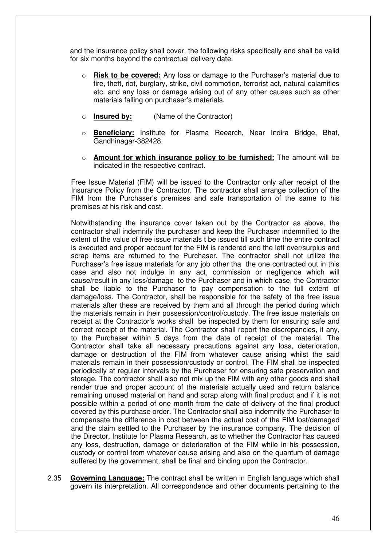and the insurance policy shall cover, the following risks specifically and shall be valid for six months beyond the contractual delivery date.

- o **Risk to be covered:** Any loss or damage to the Purchaser's material due to fire, theft, riot, burglary, strike, civil commotion, terrorist act, natural calamities etc. and any loss or damage arising out of any other causes such as other materials falling on purchaser's materials.
- o **Insured by:** (Name of the Contractor)
- o **Beneficiary:** Institute for Plasma Reearch, Near Indira Bridge, Bhat, Gandhinagar-382428.
- o **Amount for which insurance policy to be furnished:** The amount will be indicated in the respective contract.

Free Issue Material (FIM) will be issued to the Contractor only after receipt of the Insurance Policy from the Contractor. The contractor shall arrange collection of the FIM from the Purchaser's premises and safe transportation of the same to his premises at his risk and cost.

Notwithstanding the insurance cover taken out by the Contractor as above, the contractor shall indemnify the purchaser and keep the Purchaser indemnified to the extent of the value of free issue materials t be issued till such time the entire contract is executed and proper account for the FIM is rendered and the left over/surplus and scrap items are returned to the Purchaser. The contractor shall not utilize the Purchaser's free issue materials for any job other tha the one contracted out in this case and also not indulge in any act, commission or negligence which will cause/result in any loss/damage to the Purchaser and in which case, the Contractor shall be liable to the Purchaser to pay compensation to the full extent of damage/loss. The Contractor, shall be responsible for the safety of the free issue materials after these are received by them and all through the period during which the materials remain in their possession/control/custody. The free issue materials on receipt at the Contractor's works shall be inspected by them for ensuring safe and correct receipt of the material. The Contractor shall report the discrepancies, if any, to the Purchaser within 5 days from the date of receipt of the material. The Contractor shall take all necessary precautions against any loss, deterioration, damage or destruction of the FIM from whatever cause arising whilst the said materials remain in their possession/custody or control. The FIM shall be inspected periodically at regular intervals by the Purchaser for ensuring safe preservation and storage. The contractor shall also not mix up the FIM with any other goods and shall render true and proper account of the materials actually used and return balance remaining unused material on hand and scrap along with final product and if it is not possible within a period of one month from the date of delivery of the final product covered by this purchase order. The Contractor shall also indemnify the Purchaser to compensate the difference in cost between the actual cost of the FIM lost/damaged and the claim settled to the Purchaser by the insurance company. The decision of the Director, Institute for Plasma Research, as to whether the Contractor has caused any loss, destruction, damage or deterioration of the FIM while in his possession, custody or control from whatever cause arising and also on the quantum of damage suffered by the government, shall be final and binding upon the Contractor.

2.35 **Governing Language:** The contract shall be written in English language which shall govern its interpretation. All correspondence and other documents pertaining to the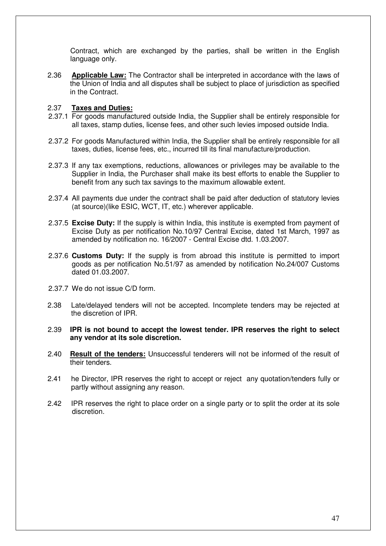Contract, which are exchanged by the parties, shall be written in the English language only.

2.36 **Applicable Law:** The Contractor shall be interpreted in accordance with the laws of the Union of India and all disputes shall be subject to place of jurisdiction as specified in the Contract.

#### 2.37 **Taxes and Duties:**

- 2.37.1 For goods manufactured outside India, the Supplier shall be entirely responsible for all taxes, stamp duties, license fees, and other such levies imposed outside India.
- 2.37.2 For goods Manufactured within India, the Supplier shall be entirely responsible for all taxes, duties, license fees, etc., incurred till its final manufacture/production.
- 2.37.3 If any tax exemptions, reductions, allowances or privileges may be available to the Supplier in India, the Purchaser shall make its best efforts to enable the Supplier to benefit from any such tax savings to the maximum allowable extent.
- 2.37.4 All payments due under the contract shall be paid after deduction of statutory levies (at source)(like ESIC, WCT, IT, etc.) wherever applicable.
- 2.37.5 **Excise Duty:** If the supply is within India, this institute is exempted from payment of Excise Duty as per notification No.10/97 Central Excise, dated 1st March, 1997 as amended by notification no. 16/2007 - Central Excise dtd. 1.03.2007.
- 2.37.6 **Customs Duty:** If the supply is from abroad this institute is permitted to import goods as per notification No.51/97 as amended by notification No.24/007 Customs dated 01.03.2007.
- 2.37.7 We do not issue C/D form.
- 2.38 Late/delayed tenders will not be accepted. Incomplete tenders may be rejected at the discretion of IPR.
- 2.39 **IPR is not bound to accept the lowest tender. IPR reserves the right to select any vendor at its sole discretion.**
- 2.40 **Result of the tenders:** Unsuccessful tenderers will not be informed of the result of their tenders.
- 2.41 he Director, IPR reserves the right to accept or reject any quotation/tenders fully or partly without assigning any reason.
- 2.42 IPR reserves the right to place order on a single party or to split the order at its sole discretion.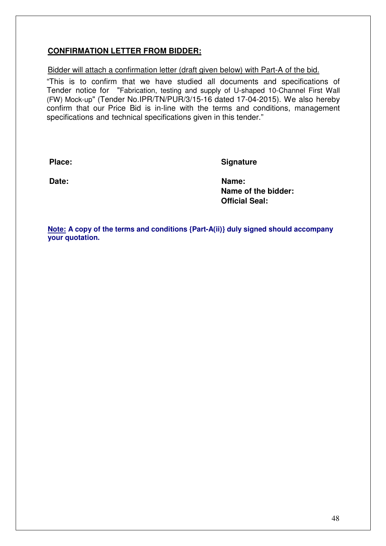## **CONFIRMATION LETTER FROM BIDDER:**

## Bidder will attach a confirmation letter (draft given below) with Part-A of the bid.

"This is to confirm that we have studied all documents and specifications of Tender notice for "Fabrication, testing and supply of U-shaped 10-Channel First Wall (FW) Mock-up" (Tender No.IPR/TN/PUR/3/15-16 dated 17-04-2015). We also hereby confirm that our Price Bid is in-line with the terms and conditions, management specifications and technical specifications given in this tender."

Place: Signature

**Date:** Name:  **Name of the bidder: Official Seal:** 

**Note: A copy of the terms and conditions {Part-A(ii)} duly signed should accompany your quotation.**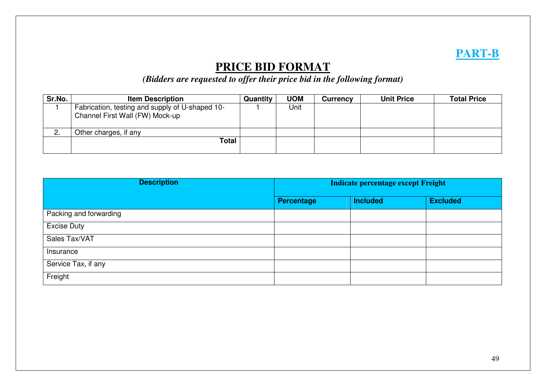# **PART-B**

# **PRICE BID FORMAT**

*(Bidders are requested to offer their price bid in the following format)* 

| Sr.No.   | <b>Item Description</b>                                                            | Quantity | <b>UOM</b> | Currency | <b>Unit Price</b> | <b>Total Price</b> |
|----------|------------------------------------------------------------------------------------|----------|------------|----------|-------------------|--------------------|
|          | Fabrication, testing and supply of U-shaped 10-<br>Channel First Wall (FW) Mock-up |          | Jnit       |          |                   |                    |
| <u>.</u> | Other charges, if any                                                              |          |            |          |                   |                    |
|          | Total                                                                              |          |            |          |                   |                    |

| <b>Description</b>     | <b>Indicate percentage except Freight</b> |                 |                 |  |
|------------------------|-------------------------------------------|-----------------|-----------------|--|
|                        | Percentage                                | <b>Included</b> | <b>Excluded</b> |  |
| Packing and forwarding |                                           |                 |                 |  |
| <b>Excise Duty</b>     |                                           |                 |                 |  |
| Sales Tax/VAT          |                                           |                 |                 |  |
| Insurance              |                                           |                 |                 |  |
| Service Tax, if any    |                                           |                 |                 |  |
| Freight                |                                           |                 |                 |  |